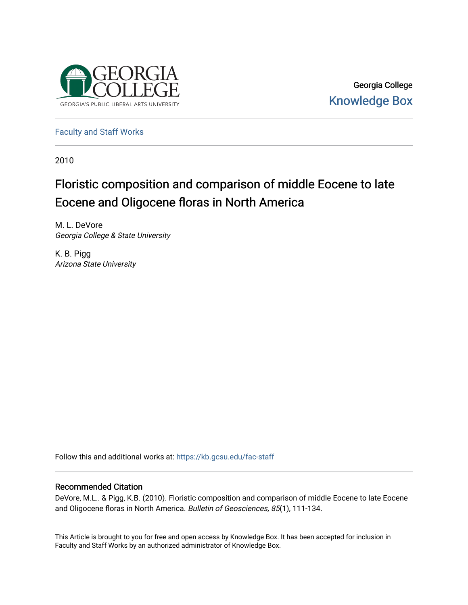

Georgia College [Knowledge Box](https://kb.gcsu.edu/) 

[Faculty and Staff Works](https://kb.gcsu.edu/fac-staff)

2010

# Floristic composition and comparison of middle Eocene to late Eocene and Oligocene floras in North America

M. L. DeVore Georgia College & State University

K. B. Pigg Arizona State University

Follow this and additional works at: [https://kb.gcsu.edu/fac-staff](https://kb.gcsu.edu/fac-staff?utm_source=kb.gcsu.edu%2Ffac-staff%2F326&utm_medium=PDF&utm_campaign=PDFCoverPages) 

# Recommended Citation

DeVore, M.L.. & Pigg, K.B. (2010). Floristic composition and comparison of middle Eocene to late Eocene and Oligocene floras in North America. Bulletin of Geosciences, 85(1), 111-134.

This Article is brought to you for free and open access by Knowledge Box. It has been accepted for inclusion in Faculty and Staff Works by an authorized administrator of Knowledge Box.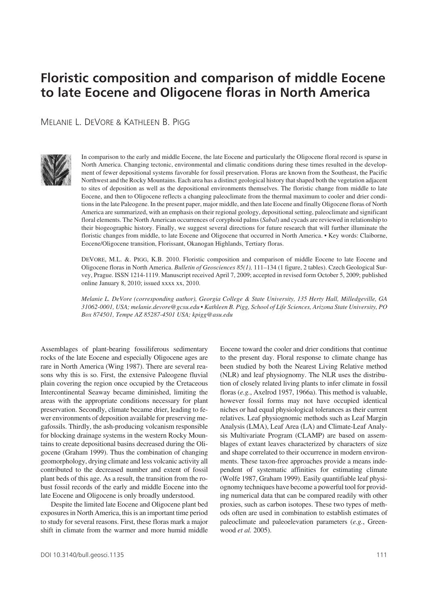# Floristic composition and comparison of middle Eocene **to late Eocene and Oligocene floras in North America**

Melanie L. DeVore & Kathleen B. Pigg



In comparison to the early and middle Eocene, the late Eocene and particularly the Oligocene floral record is sparse in North America. Changing tectonic, environmental and climatic conditions during these times resulted in the development of fewer depositional systems favorable for fossil preservation. Floras are known from the Southeast, the Pacific Northwest and the Rocky Mountains. Each area has a distinct geological history that shaped both the vegetation adjacent to sites of deposition as well as the depositional environments themselves. The floristic change from middle to late Eocene, and then to Oligocene reflects a changing paleoclimate from the thermal maximum to cooler and drier conditions in the late Paleogene. In the present paper, major middle, and then late Eocene and finally Oligocene floras of North America are summarized, with an emphasis on their regional geology, depositional setting, paleoclimate and significant floral elements. The North American occurrences of coryphoid palms (*Sabal*) and cycads are reviewed in relationship to their biogeographic history. Finally, we suggest several directions for future research that will further illuminate the floristic changes from middle, to late Eocene and Oligocene that occurred in North America. • Key words: Claiborne, Eocene/Oligocene transition, Florissant, Okanogan Highlands, Tertiary floras.

DEVORE, M.L. &. PIGG, K.B. 2010. Floristic composition and comparison of middle Eocene to late Eocene and Oligocene floras in North America. *Bulletin of Geosciences 85(1),* 111–134 (1 figure, 2 tables). Czech Geological Survey, Prague. ISSN 1214-1119. Manuscript received April 7, 2009; accepted in revised form October 5, 2009; published online January 8, 2010; issued xxxx xx, 2010.

*Melanie L. DeVore (corresponding author), Georgia College & State University, 135 Herty Hall, Milledgeville, GA 31062-0001, USA; melanie.devore@gcsu.edu • Kathleen B. Pigg, School of Life Sciences, Arizona State University, PO Box 874501, Tempe AZ 85287-4501 USA; kpigg@asu.edu*

Assemblages of plant-bearing fossiliferous sedimentary rocks of the late Eocene and especially Oligocene ages are rare in North America (Wing 1987). There are several reasons why this is so. First, the extensive Paleogene fluvial plain covering the region once occupied by the Cretaceous Intercontinental Seaway became diminished, limiting the areas with the appropriate conditions necessary for plant preservation. Secondly, climate became drier, leading to fewer environments of deposition available for preserving megafossils. Thirdly, the ash-producing volcanism responsible for blocking drainage systems in the western Rocky Mountains to create depositional basins decreased during the Oligocene (Graham 1999). Thus the combination of changing geomorphology, drying climate and less volcanic activity all contributed to the decreased number and extent of fossil plant beds of this age. As a result, the transition from the robust fossil records of the early and middle Eocene into the late Eocene and Oligocene is only broadly understood.

Despite the limited late Eocene and Oligocene plant bed exposures in North America, this is an important time period to study for several reasons. First, these floras mark a major shift in climate from the warmer and more humid middle

been studied by both the Nearest Living Relative method (NLR) and leaf physiognomy. The NLR uses the distribution of closely related living plants to infer climate in fossil floras (*e.g.*, Axelrod 1957, 1966a). This method is valuable, however fossil forms may not have occupied identical niches or had equal physiological tolerances as their current relatives. Leaf physiognomic methods such as Leaf Margin Analysis (LMA), Leaf Area (LA) and Climate-Leaf Analysis Multivariate Program (CLAMP) are based on assemblages of extant leaves characterized by characters of size and shape correlated to their occurrence in modern environments. These taxon-free approaches provide a means independent of systematic affinities for estimating climate (Wolfe 1987, Graham 1999). Easily quantifiable leaf physiognomy techniques have become a powerful tool for providing numerical data that can be compared readily with other proxies, such as carbon isotopes. These two types of methods often are used in combination to establish estimates of paleoclimate and paleoelevation parameters (*e.g.*, Greenwood *et al.* 2005).

Eocene toward the cooler and drier conditions that continue to the present day. Floral response to climate change has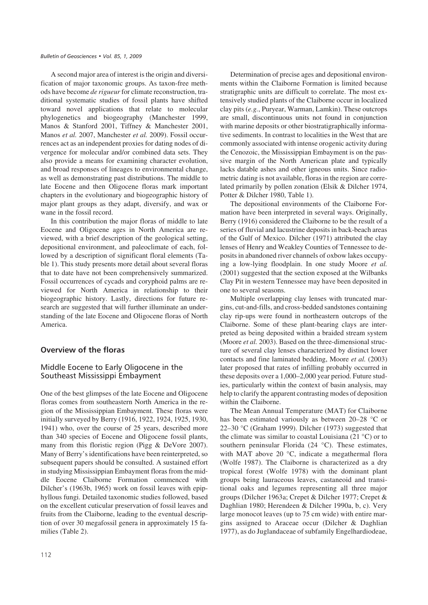A second major area of interest is the origin and diversification of major taxonomic groups. As taxon-free methods have become *de rigueur*for climate reconstruction, traditional systematic studies of fossil plants have shifted toward novel applications that relate to molecular phylogenetics and biogeography (Manchester 1999, Manos & Stanford 2001, Tiffney & Manchester 2001, Manos *et al.* 2007, Manchester *et al.* 2009). Fossil occurrences act as an independent proxies for dating nodes of divergence for molecular and/or combined data sets. They also provide a means for examining character evolution, and broad responses of lineages to environmental change, as well as demonstrating past distributions. The middle to late Eocene and then Oligocene floras mark important chapters in the evolutionary and biogeographic history of major plant groups as they adapt, diversify, and wax or wane in the fossil record.

In this contribution the major floras of middle to late Eocene and Oligocene ages in North America are reviewed, with a brief description of the geological setting, depositional environment, and paleoclimate of each, followed by a description of significant floral elements (Table 1). This study presents more detail about several floras that to date have not been comprehensively summarized. Fossil occurrences of cycads and coryphoid palms are reviewed for North America in relationship to their biogeographic history. Lastly, directions for future research are suggested that will further illuminate an understanding of the late Eocene and Oligocene floras of North America.

# **Overview of the floras**

# Middle Eocene to Early Oligocene in the Southeast Mississippi Embayment

One of the best glimpses of the late Eocene and Oligocene floras comes from southeastern North America in the region of the Mississippian Embayment. These floras were initially surveyed by Berry (1916, 1922, 1924, 1925, 1930, 1941) who, over the course of 25 years, described more than 340 species of Eocene and Oligocene fossil plants, many from this floristic region (Pigg & DeVore 2007). Many of Berry's identifications have been reinterpreted, so subsequent papers should be consulted. A sustained effort in studying Mississippian Embayment floras from the middle Eocene Claiborne Formation commenced with Dilcher's (1963b, 1965) work on fossil leaves with epiphyllous fungi. Detailed taxonomic studies followed, based on the excellent cuticular preservation of fossil leaves and fruits from the Claiborne, leading to the eventual description of over 30 megafossil genera in approximately 15 families (Table 2).

Determination of precise ages and depositional environments within the Claiborne Formation is limited because stratigraphic units are difficult to correlate. The most extensively studied plants of the Claiborne occur in localized clay pits (*e.g.*, Puryear, Warman, Lamkin). These outcrops are small, discontinuous units not found in conjunction with marine deposits or other biostratigraphically informative sediments. In contrast to localities in the West that are commonly associated with intense orogenic activity during the Cenozoic, the Mississippian Embayment is on the passive margin of the North American plate and typically lacks datable ashes and other igneous units. Since radiometric dating is not available, floras in the region are correlated primarily by pollen zonation (Elsik & Dilcher 1974, Potter & Dilcher 1980, Table 1).

The depositional environments of the Claiborne Formation have been interpreted in several ways. Originally, Berry (1916) considered the Claiborne to be the result of a series of fluvial and lacustrine deposits in back-beach areas of the Gulf of Mexico. Dilcher (1971) attributed the clay lenses of Henry and Weakley Counties of Tennessee to deposits in abandoned river channels of oxbow lakes occupying a low-lying floodplain. In one study Moore *et al.* (2001) suggested that the section exposed at the Wilbanks Clay Pit in western Tennessee may have been deposited in one to several seasons.

Multiple overlapping clay lenses with truncated margins, cut-and-fills, and cross-bedded sandstones containing clay rip-ups were found in northeastern outcrops of the Claiborne. Some of these plant-bearing clays are interpreted as being deposited within a braided stream system (Moore *et al.* 2003). Based on the three-dimensional structure of several clay lenses characterized by distinct lower contacts and fine laminated bedding, Moore *et al.* (2003) later proposed that rates of infilling probably occurred in these deposits over a 1,000–2,000 year period. Future studies, particularly within the context of basin analysis, may help to clarify the apparent contrasting modes of deposition within the Claiborne.

The Mean Annual Temperature (MAT) for Claiborne has been estimated variously as between 20–28 °C or 22–30 °C (Graham 1999). Dilcher (1973) suggested that the climate was similar to coastal Louisiana (21 °C) or to southern peninsular Florida (24 °C). These estimates, with MAT above 20 °C, indicate a megathermal flora (Wolfe 1987). The Claiborne is characterized as a dry tropical forest (Wolfe 1978) with the dominant plant groups being lauraceous leaves, castaneoid and transitional oaks and legumes representing all three major groups (Dilcher 1963a; Crepet & Dilcher 1977; Crepet & Daghlian 1980; Herendeen & Dilcher 1990a, b, c). Very large monocot leaves (up to 75 cm wide) with entire margins assigned to Araceae occur (Dilcher & Daghlian 1977), as do Juglandaceae of subfamily Engelhardiodeae,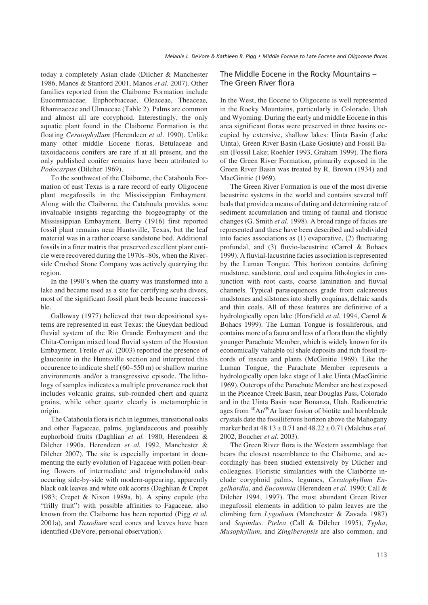today a completely Asian clade (Dilcher & Manchester 1986, Manos & Stanford 2001, Manos *et al.* 2007). Other families reported from the Claiborne Formation include Eucommiaceae*,* Euphorbiaceae, Oleaceae, Theaceae*,* Rhamnaceae and Ulmaceae (Table 2). Palms are common and almost all are coryphoid. Interestingly, the only aquatic plant found in the Claiborne Formation is the floating *Ceratophyllum* (Herendeen *et al*. 1990). Unlike many other middle Eocene floras, Betulaceae and taxoidaceous conifers are rare if at all present, and the only published conifer remains have been attributed to *Podocarpus* (Dilcher 1969).

To the southwest of the Claiborne, the Catahoula Formation of east Texas is a rare record of early Oligocene plant megafossils in the Mississippian Embayment. Along with the Claiborne, the Catahoula provides some invaluable insights regarding the biogeography of the Mississippian Embayment. Berry (1916) first reported fossil plant remains near Huntsville, Texas, but the leaf material was in a rather coarse sandstone bed. Additional fossils in a finer matrix that preserved excellent plant cuticle were recovered during the 1970s–80s, when the Riverside Crushed Stone Company was actively quarrying the region.

In the 1990's when the quarry was transformed into a lake and became used as a site for certifying scuba divers, most of the significant fossil plant beds became inaccessible.

Galloway (1977) believed that two depositional systems are represented in east Texas: the Gueydan bedload fluvial system of the Rio Grande Embayment and the Chita-Corrigan mixed load fluvial system of the Houston Embayment. Freile *et al*. (2003) reported the presence of glauconite in the Huntsville section and interpreted this occurence to indicate shelf (60–550 m) or shallow marine environments and/or a transgressive episode. The lithology of samples indicates a multiple provenance rock that includes volcanic grains, sub-rounded chert and quartz grains, while other quartz clearly is metamorphic in origin.

The Catahoula flora is rich in legumes, transitional oaks and other Fagaceae, palms, juglandaceous and possibly euphorboid fruits (Daghlian *et al.* 1980, Herendeen & Dilcher 1990a, Herendeen *et al.* 1992, Manchester & Dilcher 2007). The site is especially important in documenting the early evolution of Fagaceae with pollen-bearing flowers of intermediate and trigonobalanoid oaks occuring side-by-side with modern-appearing, apparently black oak leaves and white oak acorns (Daghlian & Crepet 1983; Crepet & Nixon 1989a, b). A spiny cupule (the "frilly fruit") with possible affinities to Fagaceae, also known from the Claiborne has been reported (Pigg *et al.* 2001a), and *Taxodium* seed cones and leaves have been identified (DeVore, personal observation).

## The Middle Eocene in the Rocky Mountains – The Green River flora

In the West, the Eocene to Oligocene is well represented in the Rocky Mountains, particularly in Colorado, Utah and Wyoming. During the early and middle Eocene in this area significant floras were preserved in three basins occupied by extensive, shallow lakes: Uinta Basin (Lake Uinta), Green River Basin (Lake Gosiute) and Fossil Basin (Fossil Lake; Roehler 1993, Graham 1999). The flora of the Green River Formation, primarily exposed in the Green River Basin was treated by R. Brown (1934) and MacGinitie (1969).

The Green River Formation is one of the most diverse lacustrine systems in the world and contains several tuff beds that provide a means of dating and determining rate of sediment accumulation and timing of faunal and floristic changes (G. Smith *et al.* 1998). A broad range of facies are represented and these have been described and subdivided into facies associations as (1) evaporative, (2) fluctuating profundal, and (3) fluvio-lacustrine (Carrol & Bohacs 1999). A fluvial-lacustrine facies association is represented by the Luman Tongue. This horizon contains defining mudstone, sandstone, coal and coquina lithologies in conjunction with root casts, coarse lamination and fluvial channels. Typical parasequences grade from calcareous mudstones and silstones into shelly coquinas, deltaic sands and thin coals. All of these features are definitive of a hydrologically open lake (Horsfield *et al.* 1994, Carrol & Bohacs 1999). The Luman Tongue is fossiliferous, and contains more of a fauna and less of a flora than the slightly younger Parachute Member, which is widely known for its economically valuable oil shale deposits and rich fossil records of insects and plants (McGinitie 1969). Like the Luman Tongue, the Parachute Member represents a hydrologically open lake stage of Lake Uinta (MacGinitie 1969). Outcrops of the Parachute Member are best exposed in the Piceance Creek Basin, near Douglas Pass, Colorado and in the Uinta Basin near Bonanza, Utah. Radiometric ages from  $^{40}Ar/^{39}Ar$  laser fusion of biotite and hornblende crystals date the fossiliferous horizon above the Mahogany marker bed at 48.13 ± 0.71 and 48.22 ± 0.71 (Malchus *et al.* 2002, Boucher *et al.* 2003).

The Green River flora is the Western assemblage that bears the closest resemblance to the Claiborne, and accordingly has been studied extensively by Dilcher and colleagues. Floristic similarities with the Claiborne include coryphoid palms, legumes, *Ceratophyllum Engelhardia*, and *Eucommia* (Herendeen *et al.* 1990; Call & Dilcher 1994, 1997). The most abundant Green River megafossil elements in addition to palm leaves are the climbing fern *Lygodium* (Manchester & Zavada 1987) and *Sapindus. Ptelea* (Call & Dilcher 1995), *Typha*, *Musophyllum*, and *Zingiberopsis* are also common, and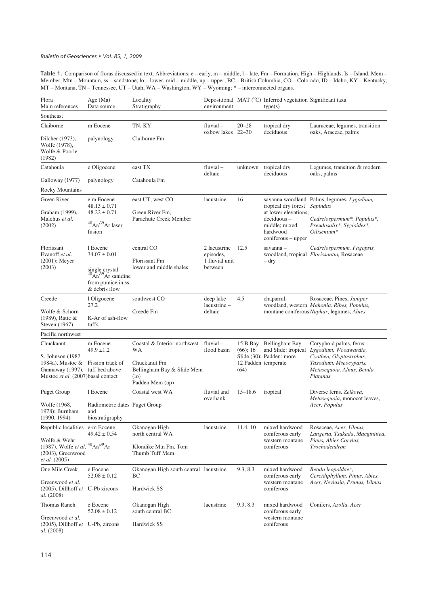Table 1. Comparison of floras discussed in text. Abbreviations: e – early, m – middle, l – late, Fm – Formation, High – Highlands, Is – Island, Mem – Member, Mtn – Mountain, ss – sandstone; lo – lower, mid – middle, up – upper; BC – British Columbia, CO – Colorado, ID – Idaho, KY – Kentucky, MT – Montana, TN – Tennessee, UT – Utah, WA – Washington, WY – Wyoming; \* – interconnected organs.

| Flora<br>Main references                                                                                                                     | Age $(Ma)$<br>Data source                                                                                                | Locality<br>Stratigraphy                                                                                          | environment                                            |                                                        | Depositional MAT (°C) Inferred vegetation Significant taxa<br>type(s)                                                    |                                                                                                                                                  |
|----------------------------------------------------------------------------------------------------------------------------------------------|--------------------------------------------------------------------------------------------------------------------------|-------------------------------------------------------------------------------------------------------------------|--------------------------------------------------------|--------------------------------------------------------|--------------------------------------------------------------------------------------------------------------------------|--------------------------------------------------------------------------------------------------------------------------------------------------|
| Southeast                                                                                                                                    |                                                                                                                          |                                                                                                                   |                                                        |                                                        |                                                                                                                          |                                                                                                                                                  |
| Claiborne                                                                                                                                    | m Eocene                                                                                                                 | TN, KY                                                                                                            | $fluvial -$                                            | $20 - 28$                                              | tropical dry                                                                                                             | Lauraceae, legumes, transition                                                                                                                   |
| Dilcher (1973),<br>Wolfe (1978),<br>Wolfe & Poorle<br>(1982)                                                                                 | palynology                                                                                                               | Claiborne Fm                                                                                                      | oxbow lakes 22-30                                      |                                                        | deciduous                                                                                                                | oaks, Araceae, palms                                                                                                                             |
| Catahoula                                                                                                                                    | e Oligocene                                                                                                              | east TX                                                                                                           | $flu$ vial $-$<br>deltaic                              | unknown                                                | tropical dry<br>deciduous                                                                                                | Legumes, transition & modern<br>oaks, palms                                                                                                      |
| Galloway (1977)                                                                                                                              | palynology                                                                                                               | Catahoula Fm                                                                                                      |                                                        |                                                        |                                                                                                                          |                                                                                                                                                  |
| Rocky Mountains                                                                                                                              |                                                                                                                          |                                                                                                                   |                                                        |                                                        |                                                                                                                          |                                                                                                                                                  |
| Green River<br>Graham (1999),<br>Malchus et al.<br>(2002)                                                                                    | e m Eocene<br>$48.13 \pm 0.71$<br>$48.22 \pm 0.71$<br>$^{40}$ Ar/ $^{39}$ Ar laser<br>fusion                             | east UT, west CO<br>Green River Fm,<br>Parachute Creek Member                                                     | lacustrine                                             | 16                                                     | tropical dry forest Sapindus<br>at lower elevations;<br>$deciduous -$<br>middle; mixed<br>hardwood<br>coniferous - upper | savanna woodland Palms, legumes, Lygodium,<br>Cedrelospermum <sup>*</sup> , Populus <sup>*</sup> ,<br>Pseudosalix*, Sygioides*,<br>Gilisenium*   |
| Florissant<br>Evanoff et al.<br>$(2001)$ ; Meyer<br>(2003)                                                                                   | 1 Eocene<br>$34.07 \pm 0.01$<br>single crystal<br>$40 \text{Ar}^{39}$ Ar sanidine<br>from pumice in ss.<br>& debris flow | central CO<br>Florissant Fm<br>lower and middle shales                                                            | 2 lacustrine<br>episodes,<br>1 fluvial unit<br>between | 12.5                                                   | savanna -<br>– dry                                                                                                       | Cedrelospermum, Fagopsis,<br>woodland, tropical Florissantia, Rosaceae                                                                           |
| Creede<br>Wolfe & Schorn<br>$(1989)$ , Ratte &<br>Steven (1967)                                                                              | 1 Oligocene<br>27.2<br>K-Ar of ash-flow<br>tuffs                                                                         | southwest CO<br>Creede Fm                                                                                         | deep lake<br>lacustrine -<br>deltaic                   | 4.5                                                    | chaparral,                                                                                                               | Rosaceae, Pines, Juniper,<br>woodland, western Mahonia, Ribes, Populus,<br>montane coniferous Nuphar, legumes, Abies                             |
| Pacific northwest                                                                                                                            |                                                                                                                          |                                                                                                                   |                                                        |                                                        |                                                                                                                          |                                                                                                                                                  |
| Chuckanut<br>S. Johnson (1982)<br>1984a), Mustoe & Fission track of<br>Gannaway (1997), tuff bed above<br>Mustoe et al. (2007) basal contact | m Eocene<br>$49.9 \pm 1.2$                                                                                               | Coastal & Interior northwest<br>WA<br>Chuckanut Fm<br>Bellingham Bay & Slide Mem<br>$($ lo $)$<br>Padden Mem (up) | $flu$ vial $-$<br>flood basin                          | 15 B Bay<br>$(66)$ ; 16<br>12 Padden temperate<br>(64) | Bellingham Bay<br>and Slide: tropical<br>Slide (30); Padden: more                                                        | Coryphoid palms, ferns:<br>Lygodium, Woodwardia,<br>Cyathea, Glyptostrobus,<br>Taxodium, Mseocyparis,<br>Metasequoia, Alnus, Betula,<br>Platanus |
| <b>Puget Group</b>                                                                                                                           | 1 Eocene                                                                                                                 | Coastal west WA                                                                                                   | fluvial and                                            | $15 - 18.6$                                            | tropical                                                                                                                 | Diverse ferns, Zelkova,                                                                                                                          |
| Wolfe (1968,<br>1978); Burnham<br>(1990, 1994)                                                                                               | Radiometric dates Puget Group<br>and<br>biostratigraphy                                                                  |                                                                                                                   | overbank                                               |                                                        |                                                                                                                          | Metasequoia, monocot leaves,<br>Acer, Populus                                                                                                    |
| Republic localities e-m Eocene                                                                                                               | $49.42 \pm 0.54$                                                                                                         | Okanogan High<br>north central WA                                                                                 | lacustrine                                             | 11.4, 10                                               | mixed hardwood<br>coniferous early<br>western montane<br>coniferous                                                      | Rosaceae, Acer, Ulmus,<br>Langeria, Tsukada, Macginitiea,<br>Pinus, Abies Corylus,<br>Trochodendron                                              |
| Wolfe & Wehr<br>(1987), Wolfe et al. ${}^{40}$ Ar $/{}^{39}$ Ar<br>$(2003)$ , Greenwood<br><i>et al.</i> (2005)                              |                                                                                                                          | Klondike Mtn Fm, Tom<br>Thumb Tuff Mem                                                                            |                                                        |                                                        |                                                                                                                          |                                                                                                                                                  |
| One Mile Creek                                                                                                                               | e Eocene<br>$52.08 \pm 0.12$                                                                                             | Okanogan High south central lacustrine<br>ВC                                                                      |                                                        | 9.3, 8.3                                               | mixed hardwood<br>coniferous early<br>western montane<br>coniferous                                                      | Betula leopoldae*,<br>Cercidiphyllum, Pinus, Abies,<br>Acer, Neviusia, Prunus, Ulmus                                                             |
| Greenwood et al.<br>(2005), Dillhoff et U-Pb zircons<br>al. (2008)                                                                           |                                                                                                                          | Hardwick SS                                                                                                       |                                                        |                                                        |                                                                                                                          |                                                                                                                                                  |
| Thomas Ranch                                                                                                                                 | e Eocene<br>$52.08 \pm 0.12$                                                                                             | Okanogan High<br>south central BC                                                                                 | lacustrine                                             | 9.3, 8.3                                               | mixed hardwood<br>coniferous early<br>western montane<br>coniferous                                                      | Conifers, Azolla, Acer                                                                                                                           |
| Greenwood et al.<br>(2005), Dillhoff et U-Pb, zircons<br>al. (2008)                                                                          |                                                                                                                          | Hardwick SS                                                                                                       |                                                        |                                                        |                                                                                                                          |                                                                                                                                                  |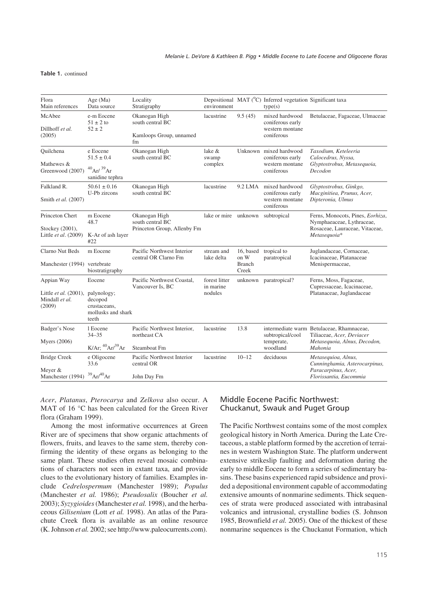#### Table 1. continued

| Flora<br>Main references                                               | Age (Ma)<br>Data source                                                         | Locality<br>Stratigraphy                                           | environment                           |                                             | Depositional MAT ( <sup>°</sup> C) Inferred vegetation Significant taxa<br>type(s) |                                                                                                                   |
|------------------------------------------------------------------------|---------------------------------------------------------------------------------|--------------------------------------------------------------------|---------------------------------------|---------------------------------------------|------------------------------------------------------------------------------------|-------------------------------------------------------------------------------------------------------------------|
| McAbee<br>Dillhoff et al.<br>(2005)                                    | e-m Eocene<br>$51 \pm 2$ to<br>$52 \pm 2$                                       | Okanogan High<br>south central BC<br>Kamloops Group, unnamed<br>fm | lacustrine                            | 9.5(45)                                     | mixed hardwood<br>coniferous early<br>western montane<br>coniferous                | Betulaceae, Fagaceae, Ulmaceae                                                                                    |
| Ouilchena<br>Mathewes &<br>Greenwood (2007)                            | e Eocene<br>$51.5 \pm 0.4$<br>$^{40}$ Ar/ $^{39}$ Ar<br>sanidine tephra         | Okanogan High<br>south central BC                                  | lake &<br>swamp<br>complex            |                                             | Unknown mixed hardwood<br>coniferous early<br>western montane<br>coniferous        | Taxodium, Keteleeria<br>Calocedrus, Nyssa,<br>Glyptostrobus, Metasequoia,<br>Decodon                              |
| Falkland R.<br>Smith et al. (2007)                                     | $50.61 \pm 0.16$<br>U-Pb zircons                                                | Okanogan High<br>south central BC                                  | lacustrine                            | 9.2 LMA                                     | mixed hardwood<br>coniferous early<br>western montane<br>coniferous                | Glyptostrobus, Ginkgo,<br>Macginitiea, Prunus, Acer,<br>Dipteronia, Ulmus                                         |
| Princeton Chert<br>Stockey (2001),<br>Little <i>et al.</i> (2009)      | m Eocene<br>48.7<br>K-Ar of ash layer<br>#22                                    | Okanogan High<br>south central BC<br>Princeton Group, Allenby Fm   | lake or mire unknown subtropical      |                                             |                                                                                    | Ferns, Monocots, Pines, Eorhiza,<br>Nymphaeaceae, Lythraceae,<br>Rosaceae, Lauraceae, Vitaceae,<br>Metasequoia*   |
| Clarno Nut Beds<br>Manchester (1994) vertebrate                        | m Eocene<br>biostratigraphy                                                     | Pacific Northwest Interior<br>central OR Clarno Fm                 | stream and<br>lake delta              | 16, based<br>on W<br><b>Branch</b><br>Creek | tropical to<br>paratropical                                                        | Juglandaceae, Cornaceae,<br>Icacinaceae, Platanaceae<br>Menispermaceae,                                           |
| Appian Way<br>Little <i>et al.</i> (2001),<br>Mindall et al.<br>(2009) | Eocene<br>palynology;<br>decopod<br>crustaceans,<br>mollusks and shark<br>teeth | Pacific Northwest Coastal.<br>Vancouver Is, BC                     | forest litter<br>in marine<br>nodules |                                             | unknown paratropical?                                                              | Ferns, Moss, Fagaceae,<br>Cupressaceae, Icacinaceae,<br>Platanaceae, Juglandaceae                                 |
| Badger's Nose<br><b>Myers</b> (2006)                                   | 1 Eocene<br>$34 - 35$<br>K/Ar; ${}^{40}Ar/{}^{39}Ar$                            | Pacific Northwest Interior,<br>northeast CA<br>Steamboat Fm        | lacustrine                            | 13.8                                        | subtropical/cool<br>temperate,<br>woodland                                         | intermediate warm Betulaceae, Rhamnaceae,<br>Tiliaceae, Acer, Deviacer<br>Metasequoia, Alnus, Decodon,<br>Mahonia |
| <b>Bridge Creek</b><br>Meyer &<br>Manchester (1994)                    | e Oligocene<br>33.6<br>$39$ Ar $/40$ Ar                                         | Pacific Northwest Interior<br>central OR<br>John Day Fm            | lacustrine                            | $10 - 12$                                   | deciduous                                                                          | Metasequioa, Alnus,<br>Cunninghamia, Asterocarpinus,<br>Paracarpinus, Acer,<br>Florissantia, Eucommia             |

*Acer*, *Platanus*, *Pterocarya* and *Zelkova* also occur. A MAT of 16 °C has been calculated for the Green River flora (Graham 1999).

Among the most informative occurrences at Green River are of specimens that show organic attachments of flowers, fruits, and leaves to the same stem, thereby confirming the identity of these organs as belonging to the same plant. These studies often reveal mosaic combinations of characters not seen in extant taxa, and provide clues to the evolutionary history of families. Examples include *Cedrelospermum* (Manchester 1989); *Populus* (Manchester *et al.* 1986); *Pseudosalix* (Boucher *et al.* 2003); *Syzygioides*(Manchester *et al.* 1998), and the herbaceous *Gilisenium* (Lott *et al.* 1998). An atlas of the Parachute Creek flora is available as an online resource (K. Johnson *et al.* 2002; see http://www.paleocurrents.com).

# Middle Eocene Pacific Northwest: Chuckanut, Swauk and Puget Group

The Pacific Northwest contains some of the most complex geological history in North America. During the Late Cretaceous, a stable platform formed by the accretion of terraines in western Washington State. The platform underwent extensive strikeslip faulting and deformation during the early to middle Eocene to form a series of sedimentary basins. These basins experienced rapid subsidence and provided a depositional environment capable of accommodating extensive amounts of nonmarine sediments. Thick sequences of strata were produced associated with intrabasinal volcanics and intrusional, crystalline bodies (S. Johnson 1985, Brownfield *et al.* 2005). One of the thickest of these nonmarine sequences is the Chuckanut Formation, which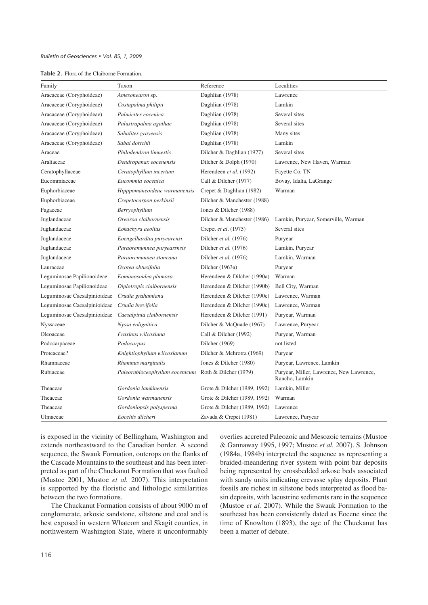| Table 2. Flora of the Claiborne Formation. |
|--------------------------------------------|
|                                            |

| Family                       | Taxon                          | Reference                    | Localities                                                 |
|------------------------------|--------------------------------|------------------------------|------------------------------------------------------------|
| Aracaceae (Coryphoideae)     | Amesoneuron sp.                | Daghlian (1978)              | Lawrence                                                   |
| Aracaceae (Coryphoideae)     | Costapalma philipii            | Daghlian (1978)              | Lamkin                                                     |
| Aracaceae (Coryphoideae)     | Palmicites eocenica            | Daghlian (1978)              | Several sites                                              |
| Aracaceae (Coryphoideae)     | Palustrapalma agathae          | Daghlian (1978)              | Several sites                                              |
| Aracaceae (Coryphoideae)     | Sabalites grayensis            | Daghlian (1978)              | Many sites                                                 |
| Aracaceae (Coryphoideae)     | Sabal dortchii                 | Daghlian (1978)              | Lamkin                                                     |
| Araceae                      | Philodendron limnestis         | Dilcher & Daghlian (1977)    | Several sites                                              |
| Araliaceae                   | Dendropanax eocenensis         | Dilcher & Dolph (1970)       | Lawrence, New Haven, Warman                                |
| Ceratophyllaceae             | Ceratophyllum incertum         | Herendeen et al. (1992)      | Fayette Co. TN                                             |
| Eucommiaceae                 | Eucommia eocenica              | Call & Dilcher (1977)        | Bovay, Idalia, LaGrange                                    |
| Euphorbiaceae                | Hipppomaneoideae warmanensis   | Crepet & Daghlian (1982)     | Warman                                                     |
| Euphorbiaceae                | Crepetocarpon perkinsii        | Dilcher & Manchester (1988)  |                                                            |
| Fagaceae                     | Berryophyllum                  | Jones & Dilcher (1988)       |                                                            |
| Juglandaceae                 | Oreoroa claibornensis          | Dilcher & Manchester (1986)  | Lamkin, Puryear, Somerville, Warman                        |
| Juglandaceae                 | Eokachyra aeolius              | Crepet et al. (1975)         | Several sites                                              |
| Juglandaceae                 | Eoengelhardtia puryearensi     | Dilcher et al. (1976)        | Puryear                                                    |
| Juglandaceae                 | Paraoremunnea puryearsnsis     | Dilcher et al. (1976)        | Lamkin, Puryear                                            |
| Juglandaceae                 | Paraoremunnea stoneana         | Dilcher et al. (1976)        | Lamkin, Warman                                             |
| Lauraceae                    | Ocotea obtusifolia             | Dilcher (1963a)              | Puryear                                                    |
| Leguminosae Papilionoideae   | Eomimosoidea plumosa           | Herendeen & Dilcher (1990a)  | Warman                                                     |
| Leguminosae Papilionoideae   | Diplotropis claibornensis      | Herendeen & Dilcher (1990b)  | Bell City, Warman                                          |
| Leguminosae Caesalpinioideae | Crudia grahamiana              | Herendeen & Dilcher (1990c)  | Lawrence, Warman                                           |
| Leguminosae Caesalpinioideae | Crudia brevifolia              | Herendeen & Dilcher (1990c)  | Lawrence, Warman                                           |
| Leguminosae Caesalpinioideae | Caesalpinia claibornensis      | Herendeen & Dilcher (1991)   | Puryear, Warman                                            |
| Nyssaceae                    | Nyssa eolignitica              | Dilcher & McQuade (1967)     | Lawrence, Puryear                                          |
| Oleoaceae                    | Fraxinus wilcoxiana            | Call & Dilcher (1992)        | Puryear, Warman                                            |
| Podocarpaceae                | Podocarpus                     | Dilcher (1969)               | not listed                                                 |
| Proteaceae?                  | Knightiophyllum wilcoxianum    | Dilcher & Mehrotra (1969)    | Puryear                                                    |
| Rhamnaceae                   | Rhamnus marginalis             | Jones & Dilcher (1980)       | Puryear, Lawrence, Lamkin                                  |
| Rubiaceae                    | Paleorubioceophyllum eocenicum | Roth & Dilcher (1979)        | Puryear, Miller, Lawrence, New Lawrence,<br>Rancho, Lamkin |
| Theaceae                     | Gordonia lamkinensis           | Grote & Dilcher (1989, 1992) | Lamkin, Miller                                             |
| Theaceae                     | Gordonia warmanensis           | Grote & Dilcher (1989, 1992) | Warman                                                     |
| Theaceae                     | Gordoniopsis polysperma        | Grote & Dilcher (1989, 1992) | Lawrence                                                   |
| Ulmaceae                     | Eoceltis dilcheri              | Zavada & Crepet (1981)       | Lawrence, Puryear                                          |

is exposed in the vicinity of Bellingham, Washington and extends northeastward to the Canadian border. A second sequence, the Swauk Formation, outcrops on the flanks of the Cascade Mountains to the southeast and has been interpreted as part of the Chuckanut Formation that was faulted (Mustoe 2001, Mustoe *et al.* 2007). This interpretation is supported by the floristic and lithologic similarities between the two formations.

The Chuckanut Formation consists of about 9000 m of conglomerate, arkosic sandstone, siltstone and coal and is best exposed in western Whatcom and Skagit counties, in northwestern Washington State, where it unconformably overlies accreted Paleozoic and Mesozoic terrains (Mustoe & Gannaway 1995, 1997; Mustoe *et al.* 2007). S. Johnson (1984a, 1984b) interpreted the sequence as representing a braided-meandering river system with point bar deposits being represented by crossbedded arkose beds associated with sandy units indicating crevasse splay deposits. Plant fossils are richest in siltstone beds interpreted as flood basin deposits, with lacustrine sediments rare in the sequence (Mustoe *et al.* 2007). While the Swauk Formation to the southeast has been consistently dated as Eocene since the time of Knowlton (1893), the age of the Chuckanut has been a matter of debate.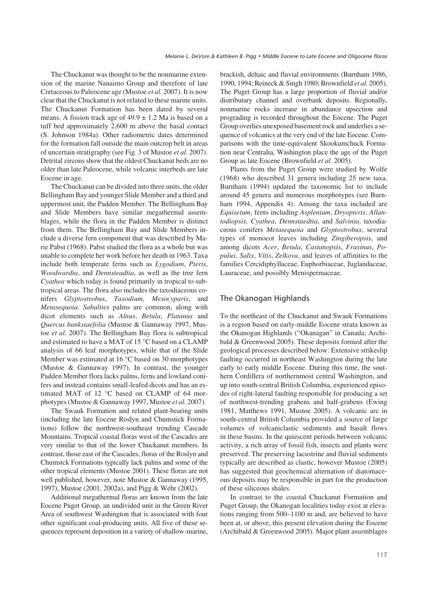The Chuckanut was thought to be the nonmarine extension of the marine Nanaimo Group and therefore of late Cretaceous to Paleocene age (Mustoe *et al.* 2007). It is now clear that the Chuckanut is not related to these marine units. The Chuckanut Formation has been dated by several means. A fission track age of  $49.9 \pm 1.2$  Ma is based on a tuff bed approximately 2,600 m above the basal contact (S. Johnson 1984a). Other radiometric dates determined for the formation fall outside the main outcrop belt in areas of uncertain stratigraphy (see Fig. 3 of Mustoe *et al.* 2007). Detrital zircons show that the oldest Chuckanut beds are no older than late Paleocene, while volcanic interbeds are late Eocene in age.

The Chuckanut can be divided into three units, the older Bellingham Bay and younger Slide Member and a third and uppermost unit, the Padden Member. The Bellingham Bay and Slide Members have similar megathermal assemblages, while the flora in the Padden Member is distinct from them. The Bellingham Bay and Slide Members include a diverse fern component that was described by Marie Pabst (1968). Pabst studied the flora as a whole but was unable to complete her work before her death in 1963. Taxa include both temperate ferns such as *Lygodium*, *Pteris*, *Woodwardia*, and *Dennsteadtia*, as well as the tree fern *Cyathea* which today is found primarily in tropical to subtropical areas. The flora also includes the taxodiaceous conifers *Glyptostrobus*, *Taxodium*, *Mesocyparis*, and *Metasequoia*. *Sabalites* palms are common, along with dicot elements such as *Alnus*, *Betula*, *Platanus* and *Quercus banksiaefolia* (Mustoe & Gannaway 1997, Mustoe *et al.* 2007). The Bellingham Bay flora is subtropical and estimated to have a MAT of 15 °C based on a CLAMP analysis of 66 leaf morphotypes, while that of the Slide Member was estimated at 16 °C based on 30 morphotypes (Mustoe & Gannaway 1997). In contrast, the younger Padden Member flora lacks palms, ferns and lowland conifers and instead contains small-leafed dicots and has an estimated MAT of 12 °C based on CLAMP of 64 morphotypes (Mustoe & Gannaway 1997, Mustoe *et al.* 2007).

The Swauk Formation and related plant-bearing units (including the late Eocene Roslyn and Chumstick Formations) follow the northwest-southeast trending Cascade Mountains. Tropical coastal floras west of the Cascades are very similar to that of the lower Chuckanut members. In contrast, those east of the Cascades, floras of the Roslyn and Chumstck Formations typically lack palms and some of the other tropical elements (Mustoe 2001). These floras are not well published, however, note Mustoe & Gannaway (1995, 1997), Mustoe (2001, 2002a), and Pigg & Wehr (2002).

Additional megathermal floras are known from the late Eocene Puget Group, an undivided unit in the Green River Area of southwest Washington that is associated with four other significant coal-producing units. All five of these sequences represent deposition in a variety of shallow-marine,

brackish, deltaic and fluvial environments (Burnham 1986, 1990, 1994; Reineck & Singh 1980; Brownfield *et al.* 2005). The Puget Group has a large proportion of fluvial and/or distributary channel and overbank deposits. Regionally, nonmarine rocks increase in abundance upsection and prograding is recorded throughout the Eocene. The Puget Group overlies unexposed basement rock and underlies a sequence of volcanics at the very end of the late Eocene. Comparisons with the time-equivalent Skookumchuck Formation near Centralia, Washington place the age of the Puget Group as late Eocene (Brownfield *et al.* 2005).

Plants from the Puget Group were studied by Wolfe (1968) who described 31 genera including 25 new taxa. Burnham (1994) updated the taxonomic list to include around 45 genera and numerous morphotypes (see Burnham 1994, Appendix 4). Among the taxa included are *Equisetum*, ferns including *Asplenium*, *Dryopteris*, *Allantodiopsis, Cyathea*, *Dennstaedtia*, and *Salvinia*, taxodiaceous conifers *Metasequoia* and *Glyptostrobus*, several types of monocot leaves including *Zingiberopsis*, and among dicots *Acer*, *Betula*, *Castanopsis*, *Fraxinus*, *Populus*, *Salix*, *Vitis*, *Zelkova*, and leaves of affinities to the families Cercidiphyllaceae, Euphorbiaceae, Juglandaceae, Lauraceae, and possibly Menispermaceae.

## The Okanogan Highlands

To the northeast of the Chuckanut and Swauk Formations is a region based on early-middle Eocene strata known as the Okanogan Highlands ("Okanagan" in Canada; Archibald & Greenwood 2005). These deposits formed after the geological processes described below: Extensive strikeslip faulting occurred in northeast Washington during the late early to early middle Eocene. During this time, the southern Cordillera of northernmost central Washington, and up into south-central British Columbia, experienced episodes of right-lateral faulting responsible for producing a set of northwest-trending grabens and half-grabens (Ewing 1981, Matthews 1991, Mustoe 2005). A volcanic arc in south-central British Columbia provided a source of large volumes of volcaniclastic sediments and basalt flows in these basins. In the quiescent periods between volcanic activity, a rich array of fossil fish, insects and plants were preserved. The preserving lacustrine and fluvial sediments typically are described as clastic, however Mustoe (2005) has suggested that geochemical alternation of diatomaceous deposits may be responsible in part for the production of these siliceous shales.

In contrast to the coastal Chuckanut Formation and Puget Group, the Okanogan localities today exist at elevations ranging from 500–1100 m and, are believed to have been at, or above, this present elevation during the Eocene (Archibald & Greenwood 2005). Major plant assemblages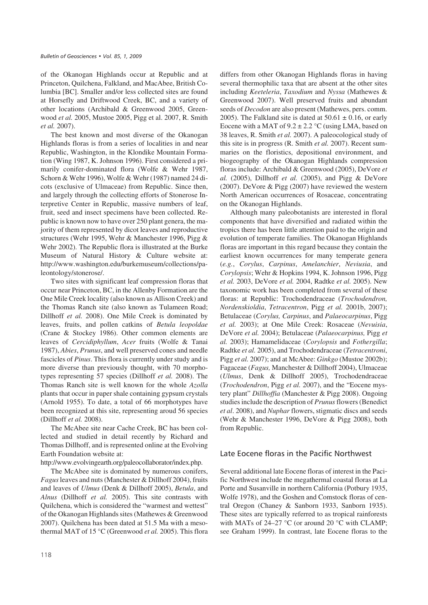of the Okanogan Highlands occur at Republic and at Princeton, Quilchena, Falkland, and MacAbee, British Columbia [BC]. Smaller and/or less collected sites are found at Horsefly and Driftwood Creek, BC, and a variety of other locations (Archibald & Greenwood 2005, Greenwood *et al.* 2005, Mustoe 2005, Pigg et al. 2007, R. Smith *et al.* 2007).

The best known and most diverse of the Okanogan Highlands floras is from a series of localities in and near Republic, Washington, in the Klondike Mountain Formation (Wing 1987, K. Johnson 1996). First considered a primarily conifer-dominated flora (Wolfe & Wehr 1987, Schorn & Wehr 1996), Wolfe & Wehr (1987) named 24 dicots (exclusive of Ulmaceae) from Republic. Since then, and largely through the collecting efforts of Stonerose Interpretive Center in Republic, massive numbers of leaf, fruit, seed and insect specimens have been collected. Republic is known now to have over 250 plant genera, the majority of them represented by dicot leaves and reproductive structures (Wehr 1995, Wehr & Manchester 1996, Pigg & Wehr 2002). The Republic flora is illustrated at the Burke Museum of Natural History & Culture website at: http://www.washington.edu/burkemuseum/collections/paleontology/stonerose/.

Two sites with significant leaf compression floras that occur near Princeton, BC, in the Allenby Formation are the One Mile Creek locality (also known as Allison Creek) and the Thomas Ranch site (also known as Tulameen Road; Dillhoff *et al.* 2008). One Mile Creek is dominated by leaves, fruits, and pollen catkins of *Betula leopoldae* (Crane & Stockey 1986). Other common elements are leaves of *Cercidiphyllum*, *Acer* fruits (Wolfe & Tanai 1987), *Abies*, *Prunus*, and well preserved cones and needle fascicles of *Pinus*. This flora is currently under study and is more diverse than previously thought, with 70 morphotypes representing 57 species (Dillhoff *et al.* 2008). The Thomas Ranch site is well known for the whole *Azolla* plants that occur in paper shale containing gypsum crystals (Arnold 1955). To date, a total of 66 morphotypes have been recognized at this site, representing aroud 56 species (Dillhoff *et al.* 2008).

The McAbee site near Cache Creek, BC has been collected and studied in detail recently by Richard and Thomas Dillhoff, and is represented online at the Evolving Earth Foundation website at:

http://www.evolvingearth.org/paleocollaborator/index.php.

The McAbee site is dominated by numerous conifers, *Fagus*leaves and nuts (Manchester & Dillhoff 2004), fruits and leaves of *Ulmus* (Denk & Dillhoff 2005), *Betula*, and *Alnus* (Dillhoff *et al.* 2005). This site contrasts with Quilchena, which is considered the "warmest and wettest" of the Okanogan Highlands sites (Mathewes & Greenwood 2007). Quilchena has been dated at 51.5 Ma with a mesothermal MAT of 15 °C (Greenwood *et al.* 2005). This flora differs from other Okanogan Highlands floras in having several thermophilic taxa that are absent at the other sites including *Keeteleria*, *Taxodium* and *Nyssa* (Mathewes & Greenwood 2007). Well preserved fruits and abundant seeds of *Decodon* are also present (Mathewes, pers. comm. 2005). The Falkland site is dated at  $50.61 \pm 0.16$ , or early Eocene with a MAT of  $9.2 \pm 2.2$  °C (using LMA, based on 38 leaves, R. Smith *et al.* 2007). A paleocological study of this site is in progress (R. Smith *et al.* 2007). Recent summaries on the floristics, depositional environment, and biogeography of the Okanogan Highlands compression floras include: Archibald & Greenwood (2005), DeVore *et al.* (2005), Dillhoff *et al.* (2005), and Pigg & DeVore (2007). DeVore & Pigg (2007) have reviewed the western North American occurrences of Rosaceae, concentrating on the Okanogan Highlands.

Although many paleobotanists are interested in floral components that have diversified and radiated within the tropics there has been little attention paid to the origin and evolution of temperate families. The Okanogan Highlands floras are important in this regard because they contain the earliest known occurrences for many temperate genera (*e.g.*, *Corylus*, *Carpinus*, *Amelanchier*, *Neviusia*, and *Corylopsis*; Wehr & Hopkins 1994, K. Johnson 1996, Pigg *et al.* 2003, DeVore *et al.* 2004, Radtke *et al.* 2005). New taxonomic work has been completed from several of these floras: at Republic: Trochodendraceae (*Trochodendron, Nordenskioldia*, *Tetracentron*, Pigg *et al.* 2001b, 2007); Betulaceae (*Corylus, Carpinus*, and *Palaeocarpinus*, Pigg *et al.* 2003); at One Mile Creek: Rosaceae (*Nevuisia*, DeVore *et al.* 2004); Betulaceae (*Palaeocarpinus,* Pigg *et al.* 2003); Hamamelidaceae (*Corylopsis* and *Fothergilla*; Radtke *et al.* 2005), and Trochodendraceae (*Tetracentroni*, Pigg *et al.* 2007); and at McAbee: *Ginkgo* (Mustoe 2002b); Fagaceae (*Fagus,* Manchester & Dillhoff 2004), Ulmaceae (*Ulmus*, Denk & Dillhoff 2005), Trochodendraceae (*Trochodendron*, Pigg *et al.* 2007), and the "Eocene mystery plant" *Dillhoffia* (Manchester & Pigg 2008). Ongoing studies include the description of *Prunus*flowers (Benedict *et al*. 2008), and *Nuphar* flowers, stigmatic discs and seeds (Wehr & Manchester 1996, DeVore & Pigg 2008), both from Republic.

# Late Eocene floras in the Pacific Northwest

Several additional late Eocene floras of interest in the Pacific Northwest include the megathermal coastal floras at La Porte and Susanville in northern California (Potbury 1935, Wolfe 1978), and the Goshen and Comstock floras of central Oregon (Chaney & Sanborn 1933, Sanborn 1935). These sites are typically referred to as tropical rainforests with MATs of 24–27 °C (or around 20 °C with CLAMP; see Graham 1999). In contrast, late Eocene floras to the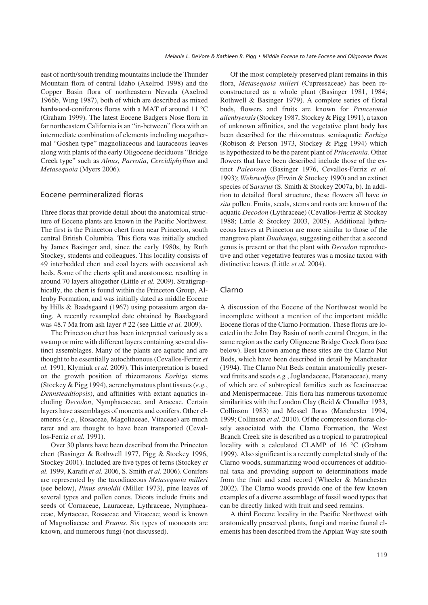east of north/south trending mountains include the Thunder Mountain flora of central Idaho (Axelrod 1998) and the Copper Basin flora of northeastern Nevada (Axelrod 1966b, Wing 1987), both of which are described as mixed hardwood-coniferous floras with a MAT of around 11 °C (Graham 1999). The latest Eocene Badgers Nose flora in far northeastern California is an "in-between" flora with an intermediate combination of elements including megathermal "Goshen type" magnoliaceous and lauraceous leaves along with plants of the early Oligocene deciduous "Bridge Creek type" such as *Alnus*, *Parrotia*, *Cercidiphyllum* and *Metasequoia* (Myers 2006).

## Eocene permineralized floras

Three floras that provide detail about the anatomical structure of Eocene plants are known in the Pacific Northwest. The first is the Princeton chert from near Princeton, south central British Columbia. This flora was initially studied by James Basinger and, since the early 1980s, by Ruth Stockey, students and colleagues. This locality consists of 49 interbedded chert and coal layers with occasional ash beds. Some of the cherts split and anastomose, resulting in around 70 layers altogether (Little *et al.* 2009). Stratigraphically, the chert is found within the Princeton Group, Allenby Formation, and was initially dated as middle Eocene by Hills & Baadsgaard (1967) using potassium argon dating. A recently resampled date obtained by Baadsgaard was 48.7 Ma from ash layer # 22 (see Little *et al.* 2009).

The Princeton chert has been interpreted variously as a swamp or mire with different layers containing several distinct assemblages. Many of the plants are aquatic and are thought to be essentially autochthonous (Cevallos-Ferriz *et al.* 1991, Klymiuk *et al.* 2009). This interpretation is based on the growth position of rhizomatous *Eorhiza* stems (Stockey & Pigg 1994), aerenchymatous plant tissues (*e.g.*, *Dennsteadtiopsis*), and affinities with extant aquatics including *Decodon*, Nymphaeaceae, and Araceae. Certain layers have assemblages of moncots and conifers. Other elements (*e.g.*, Rosaceae, Magoliaceae, Vitaceae) are much rarer and are thought to have been transported (Cevallos-Ferriz *et al.* 1991).

Over 30 plants have been described from the Princeton chert (Basinger & Rothwell 1977, Pigg & Stockey 1996, Stockey 2001). Included are five types of ferns (Stockey *et al.* 1999, Karafit *et al.* 2006, S. Smith *et al.* 2006). Conifers are represented by the taxodiaceous *Metasequoia milleri* (see below), *Pinus arnoldii* (Miller 1973), pine leaves of several types and pollen cones. Dicots include fruits and seeds of Cornaceae, Lauraceae, Lythraceae, Nymphaeaceae, Myrtaceae, Rosaceae and Vitaceae; wood is known of Magnoliaceae and *Prunus.* Six types of monocots are known, and numerous fungi (not discussed).

Of the most completely preserved plant remains in this flora, *Metasequoia milleri* (Cupressaceae) has been reconstructured as a whole plant (Basinger 1981, 1984; Rothwell & Basinger 1979). A complete series of floral buds, flowers and fruits are known for *Princetonia allenbyensis*(Stockey 1987, Stockey & Pigg 1991), a taxon of unknown affinities, and the vegetative plant body has been described for the rhizomatous semiaquatic *Eorhiza* (Robison & Person 1973, Stockey & Pigg 1994) which is hypothesized to be the parent plant of *Princetonia.* Other flowers that have been described include those of the extinct *Paleorosa* (Basinger 1976, Cevallos-Ferriz *et al.* 1993); *Wehrwolfea* (Erwin & Stockey 1990) and an extinct species of S*arurus* (S. Smith & Stockey 2007a, b). In addition to detailed floral structure, these flowers all have *in situ* pollen. Fruits, seeds, stems and roots are known of the aquatic *Decodon* (Lythraceae) (Cevallos-Ferriz & Stockey 1988; Little & Stockey 2003, 2005). Additional lythraceous leaves at Princeton are more similar to those of the mangrove plant *Duabanga*, suggesting either that a second genus is present or that the plant with *Decodon* reproductive and other vegetative features was a mosiac taxon with distinctive leaves (Little *et al.* 2004).

## Clarno

A discussion of the Eocene of the Northwest would be incomplete without a mention of the important middle Eocene floras of the Clarno Formation. These floras are located in the John Day Basin of north central Oregon, in the same region as the early Oligocene Bridge Creek flora (see below). Best known among these sites are the Clarno Nut Beds, which have been described in detail by Manchester (1994). The Clarno Nut Beds contain anatomically preserved fruits and seeds *e.g.*, Juglandaceae, Platanaceae), many of which are of subtropical families such as Icacinaceae and Menispermaceae. This flora has numerous taxonomic similarities with the London Clay (Reid & Chandler 1933, Collinson 1983) and Messel floras (Manchester 1994, 1999; Collinson *et al.* 2010). Of the compression floras closely associated with the Clarno Formation, the West Branch Creek site is described as a tropical to paratropical locality with a calculated CLAMP of 16 °C (Graham 1999). Also significant is a recently completed study of the Clarno woods, summarizing wood occurrences of additional taxa and providing support to determinations made from the fruit and seed record (Wheeler & Manchester 2002). The Clarno woods provide one of the few known examples of a diverse assemblage of fossil wood types that can be directly linked with fruit and seed remains.

A third Eocene locality in the Pacific Northwest with anatomically preserved plants, fungi and marine faunal elements has been described from the Appian Way site south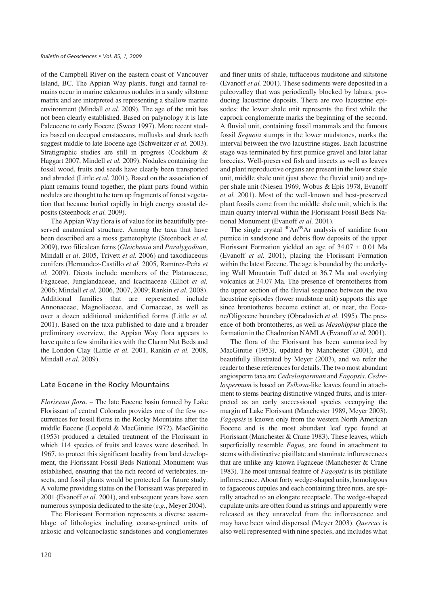of the Campbell River on the eastern coast of Vancouver Island, BC. The Appian Way plants, fungi and faunal remains occur in marine calcarous nodules in a sandy siltstone matrix and are interpreted as representing a shallow marine environment (Mindall *et al.* 2009). The age of the unit has not been clearly established. Based on palynology it is late Paleocene to early Eocene (Sweet 1997). More recent studies based on decopod crustaceans, mollusks and shark teeth suggest middle to late Eocene age (Schweitzer *et al.* 2003). Stratigraphic studies are still in progress (Cockburn & Haggart 2007, Mindell *et al.* 2009). Nodules containing the fossil wood, fruits and seeds have clearly been transported and abraded (Little *et al.* 2001). Based on the association of plant remains found together, the plant parts found within nodules are thought to be torn up fragments of forest vegetation that became buried rapidly in high energy coastal deposits (Steenbock *et al.* 2009).

The Appian Way flora is of value for its beautifully preserved anatomical structure. Among the taxa that have been described are a moss gametophyte (Steenbock *et al.* 2009), two filicalean ferns (*Gleichenia* and *Paralygodium*, Mindall *et al*. 2005, Trivett *et al.* 2006) and taxodiaceous conifers (Hernandez-Castillo *et al.* 2005, Ramírez-Peña *et al.* 2009). Dicots include members of the Platanaceae, Fagaceae, Junglandaceae, and Icacinaceae (Elliot *et al.* 2006; Mindall *et al.* 2006, 2007, 2009; Rankin *et al.* 2008). Additional families that are represented include Annonaceae, Magnoliaceae, and Cornaceae, as well as over a dozen additional unidentified forms (Little *et al.* 2001). Based on the taxa published to date and a broader preliminary overview, the Appian Way flora appears to have quite a few similarities with the Clarno Nut Beds and the London Clay (Little *et al.* 2001, Rankin *et al.* 2008, Mindall *et al.* 2009).

## Late Eocene in the Rocky Mountains

*Florissant flora*. – The late Eocene basin formed by Lake Florissant of central Colorado provides one of the few occurrences for fossil floras in the Rocky Mountains after the middle Eocene (Leopold & MacGinitie 1972). MacGinitie (1953) produced a detailed treatment of the Florissant in which 114 species of fruits and leaves were described. In 1967, to protect this significant locality from land development, the Florissant Fossil Beds National Monument was established, ensuring that the rich record of vertebrates, insects, and fossil plants would be protected for future study. A volume providing status on the Florissant was prepared in 2001 (Evanoff *et al.* 2001), and subsequent years have seen numerous symposia dedicated to the site (*e.g.*, Meyer 2004).

The Florissant Formation represents a diverse assemblage of lithologies including coarse-grained units of arkosic and volcanoclastic sandstones and conglomerates and finer units of shale, tuffaceous mudstone and siltstone (Evanoff *et al.* 2001). These sediments were deposited in a paleovalley that was periodically blocked by lahars, producing lacustrine deposits. There are two lacustrine episodes: the lower shale unit represents the first while the caprock conglomerate marks the beginning of the second. A fluvial unit, containing fossil mammals and the famous fossil *Sequoia* stumps in the lower mudstones, marks the interval between the two lacustrine stages. Each lacustrine stage was terminated by first pumice gravel and later lahar breccias. Well-preserved fish and insects as well as leaves and plant reproductive organs are present in the lower shale unit, middle shale unit (just above the fluvial unit) and upper shale unit (Niesen 1969, Wobus & Epis 1978, Evanoff *et al.* 2001). Most of the well-known and best-preserved plant fossils come from the middle shale unit, which is the main quarry interval within the Florissant Fossil Beds National Monument (Evanoff *et al.* 2001).

The single crystal  $^{40}Ar/^{39}Ar$  analysis of sanidine from pumice in sandstone and debris flow deposits of the upper Florissant Formation yielded an age of  $34.07 \pm 0.01$  Ma (Evanoff *et al.* 2001), placing the Florissant Formation within the latest Eocene. The age is bounded by the underlying Wall Mountain Tuff dated at 36.7 Ma and overlying volcanics at 34.07 Ma. The presence of brontotheres from the upper section of the fluvial sequence between the two lacustrine episodes (lower mudstone unit) supports this age since brontotheres become extinct at, or near, the Eocene/Oligocene boundary (Obradovich *et al.* 1995). The presence of both brontotheres, as well as *Mesohippus* place the formation in the Chadronian NAMLA (Evanoff *et al.* 2001).

The flora of the Florissant has been summarized by MacGinitie (1953), updated by Manchester (2001), and beautifully illustrated by Meyer (2003), and we refer the reader to these references for details. The two most abundant angiosperm taxa are *Cedrelospermum* and *Fagopsis*. *Cedrelospermum* is based on *Zelkova*-like leaves found in attachment to stems bearing distinctive winged fruits, and is interpreted as an early successional species occupying the margin of Lake Florissant (Manchester 1989, Meyer 2003). *Fagopsis* is known only from the western North American Eocene and is the most abundant leaf type found at Florissant (Manchester & Crane 1983). These leaves, which superficially resemble *Fagus*, are found in attachment to stems with distinctive pistillate and staminate inflorescences that are unlike any known Fagaceae (Manchester & Crane 1983). The most unusual feature of *Fagopsis* is its pistillate inflorescence. About forty wedge-shaped units, homologous to fagaceous cupules and each containing three nuts, are spirally attached to an elongate receptacle. The wedge-shaped cupulate units are often found as strings and apparently were released as they unraveled from the inflorescence and may have been wind dispersed (Meyer 2003). *Quercus* is also well represented with nine species, and includes what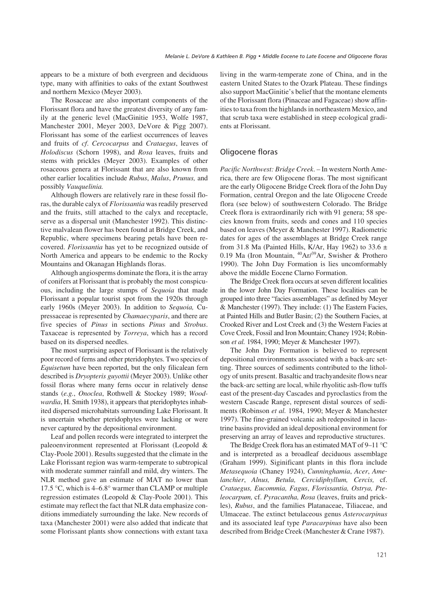appears to be a mixture of both evergreen and deciduous type, many with affinities to oaks of the extant Southwest and northern Mexico (Meyer 2003).

The Rosaceae are also important components of the Florissant flora and have the greatest diversity of any family at the generic level (MacGinitie 1953, Wolfe 1987, Manchester 2001, Meyer 2003, DeVore & Pigg 2007). Florissant has some of the earliest occurrences of leaves and fruits of *cf*. *Cercocarpus* and *Crataegus*, leaves of *Holodiscus* (Schorn 1998), and *Rosa* leaves, fruits and stems with prickles (Meyer 2003). Examples of other rosaceous genera at Florissant that are also known from other earlier localities include *Rubus*, *Malus*, *Prunus,* and possibly *Vauquelinia.*

Although flowers are relatively rare in these fossil floras, the durable calyx of *Florissantia* was readily preserved and the fruits, still attached to the calyx and receptacle, serve as a dispersal unit (Manchester 1992). This distinctive malvalean flower has been found at Bridge Creek, and Republic, where specimens bearing petals have been recovered. *Florissantia* has yet to be recognized outside of North America and appears to be endemic to the Rocky Mountains and Okanagan Highlands floras.

Although angiosperms dominate the flora, it is the array of conifers at Florissant that is probably the most conspicuous, including the large stumps of *Sequoia* that made Florissant a popular tourist spot from the 1920s through early 1960s (Meyer 2003). In addition to *Sequoia,* Cupressaceae is represented by *Chamaecyparis*, and there are five species of *Pinus* in sections *Pinus* and *Strobus*. Taxaceae is represented by *Torreya*, which has a record based on its dispersed needles.

The most surprising aspect of Florissant is the relatively poor record of ferns and other pteridophytes. Two species of *Equisetum* have been reported, but the only filicalean fern described is *Dryopteris guyottii* (Meyer 2003). Unlike other fossil floras where many ferns occur in relatively dense stands (*e.g.*, *Onoclea*, Rothwell & Stockey 1989; *Woodwardia*, H. Smith 1938), it appears that pteridophytes inhabited dispersed microhabitats surrounding Lake Florissant. It is uncertain whether pteridophytes were lacking or were never captured by the depositional environment.

Leaf and pollen records were integrated to interpret the paleoenvironment represented at Florissant (Leopold & Clay-Poole 2001). Results suggested that the climate in the Lake Florissant region was warm-temperate to subtropical with moderate summer rainfall and mild, dry winters. The NLR method gave an estimate of MAT no lower than 17.5 °C, which is 4–6.8° warmer than CLAMP or multiple regression estimates (Leopold & Clay-Poole 2001). This estimate may reflect the fact that NLR data emphasize conditions immediately surrounding the lake. New records of taxa (Manchester 2001) were also added that indicate that some Florissant plants show connections with extant taxa living in the warm-temperate zone of China, and in the eastern United States to the Ozark Plateau. These findings also support MacGinitie's belief that the montane elements of the Florissant flora (Pinaceae and Fagaceae) show affinities to taxa from the highlands in northeastern Mexico, and that scrub taxa were established in steep ecological gradients at Florissant.

## Oligocene floras

*Pacific Northwest: Bridge Creek*. – In western North America, there are few Oligocene floras. The most significant are the early Oligocene Bridge Creek flora of the John Day Formation, central Oregon and the late Oligocene Creede flora (see below) of southwestern Colorado. The Bridge Creek flora is extraordinarily rich with 91 genera; 58 species known from fruits, seeds and cones and 110 species based on leaves (Meyer & Manchester 1997). Radiometric dates for ages of the assemblages at Bridge Creek range from 31.8 Ma (Painted Hills, K/Ar, Hay 1962) to 33.6  $\pm$ 0.19 Ma (Iron Mountain, 40Ar/39Ar, Swisher & Prothero 1990). The John Day Formation is lies uncomformably above the middle Eocene Clarno Formation.

The Bridge Creek flora occurs at seven different localities in the lower John Day Formation. These localities can be grouped into three "facies assemblages" as defined by Meyer & Manchester (1997). They include: (1) The Eastern Facies, at Painted Hills and Butler Basin; (2) the Southern Facies, at Crooked River and Lost Creek and (3) the Western Facies at Cove Creek, Fossil and Iron Mountain; Chaney 1924; Robinson *et al.* 1984, 1990; Meyer & Manchester 1997).

The John Day Formation is believed to represent depositional environments associated with a back-arc setting. Three sources of sediments contributed to the lithology of units present. Basaltic and trachyandesite flows near the back-arc setting are local, while rhyolitic ash-flow tuffs east of the present-day Cascades and pyroclastics from the western Cascade Range, represent distal sources of sediments (Robinson *et al.* 1984, 1990; Meyer & Manchester 1997). The fine-grained volcanic ash redeposited in lacustrine basins provided an ideal depositional environment for preserving an array of leaves and reproductive structures.

The Bridge Creek flora has an estimated MAT of 9–11 °C and is interpreted as a broadleaf deciduous assemblage (Graham 1999). Siginificant plants in this flora include *Metasequoia* (Chaney 1924), *Cunninghamia*, *Acer*, *Amelanchier*, *Alnus, Betula, Cercidiphyllum, Cercis,* cf. *Crataegus, Eucommia, Fagus*, *Florissantia, Ostrya, Pteleocarpum,* cf. *Pyracantha, Rosa* (leaves, fruits and prickles), *Rubus*, and the families Platanaceae, Tiliaceae, and Ulmaceae. The extinct betulaceous genus *Asterocarpinus* and its associated leaf type *Paracarpinus* have also been described from Bridge Creek (Manchester & Crane 1987).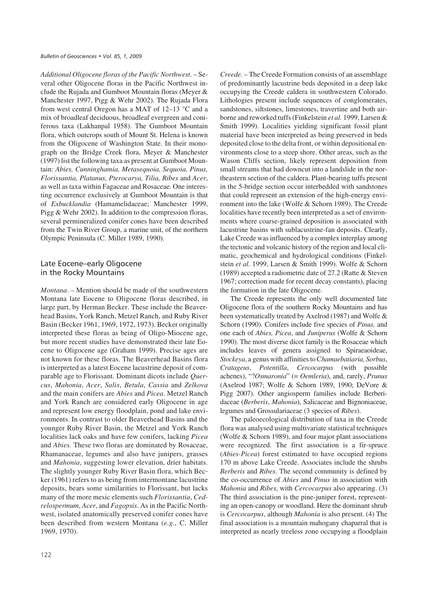*Additional Oligocene floras of the Pacific Northwest*. – Several other Oligocene floras in the Pacific Northwest include the Rujada and Gumboot Mountain floras (Meyer & Manchester 1997, Pigg & Wehr 2002). The Rujada Flora from west central Oregon has a MAT of 12–13 °C and a mix of broadleaf deciduous, broadleaf evergreen and coniferous taxa (Lakhanpal 1958). The Gumboot Mountain flora, which outcrops south of Mount St. Helena is known from the Oligocene of Washington State. In their monograph on the Bridge Creek flora, Meyer & Manchester (1997) list the following taxa as present at Gumboot Mountain: *Abies, Cunninghamia, Metasequoia, Sequoia, Pinus, Florissantia, Platanus, Pterocarya, Tilia, Ribes* and *Acer*, as well as taxa within Fagaceae and Rosaceae. One interesting occurrence exclusively at Gumboot Mountain is that of *Exbucklandia* (Hamamelidaceae; Manchester 1999, Pigg & Wehr 2002). In addition to the compression floras, several permineralized conifer cones have been described from the Twin River Group, a marine unit, of the northern Olympic Peninsula (C. Miller 1989, 1990).

# Late Eocene–early Oligocene in the Rocky Mountains

*Montana*. – Mention should be made of the southwestern Montana late Eocene to Oligocene floras described, in large part, by Herman Becker. These include the Beaverhead Basins, York Ranch, Metzel Ranch, and Ruby River Basin (Becker 1961, 1969, 1972, 1973). Becker originally interpreted these floras as being of Oligo-Miocene age, but more recent studies have demonstrated their late Eocene to Oligocene age (Graham 1999). Precise ages are not known for these floras. The Beaverhead Basins flora is interpreted as a latest Eocene lacustrine deposit of comparable age to Florissant. Dominant dicots include *Quercus*, *Mahonia*, *Acer*, *Salix*, *Betula*, *Cassia* and *Zelkova* and the main conifers are *Abies* and *Picea*. Metzel Ranch and York Ranch are considered early Oligocene in age and represent low energy floodplain, pond and lake environments. In contrast to older Beaverhead Basins and the younger Ruby River Basin, the Metzel and York Ranch localities lack oaks and have few conifers, lacking *Picea* and *Abies.* These two floras are dominated by Rosaceae, Rhamanaceae, legumes and also have junipers, grasses and *Mahonia*, suggesting lower elevation, drier habitats. The slightly younger Ruby River Basin flora, which Becker (1961) refers to as being from intermontane lacustrine deposits, bears some similarities to Florissant, but lacks many of the more mesic elements such *Florissantia*, *Cedrelospermum*, *Acer*, and *Fagopsis*. As in the Pacific Northwest, isolated anatomically preserved conifer cones have been described from western Montana (*e.g.*, C. Miller 1969, 1970).

*Creede.* – The Creede Formation consists of an assemblage of predominantly lacustrine beds deposited in a deep lake occupying the Creede caldera in southwestern Colorado. Lithologies present include sequences of conglomerates, sandstones, siltstones, limestones, travertine and both airborne and reworked tuffs (Finkelstein *et al.* 1999, Larsen & Smith 1999). Localities yielding significant fossil plant material have been interpreted as being preserved in beds deposited close to the delta front, or within depositional environments close to a steep shore. Other areas, such as the Wason Cliffs section, likely represent deposition from small streams that had downcut into a landslide in the northeastern section of the caldera. Plant-bearing tuffs present in the 5-bridge section occur interbedded with sandstones that could represent an extension of the high-energy environment into the lake (Wolfe & Schorn 1989). The Creede localities have recently been interpreted as a set of environments where coarse-grained deposition is associated with lacustrine basins with sublacustrine-fan deposits. Clearly, Lake Creede was influenced by a complex interplay among the tectonic and volcanic history of the region and local climatic, geochemical and hydrological conditions (Finkelstein *et al.* 1999, Larsen & Smith 1999). Wolfe & Schorn (1989) accepted a radiometric date of 27.2 (Ratte & Steven 1967; correction made for recent decay constants), placing the formation in the late Oligocene.

The Creede represents the only well documented late Oligocene flora of the southern Rocky Mountains and has been systematically treated by Axelrod (1987) and Wolfe & Schorn (1990). Conifers include five species of *Pinus,* and one each of *Abies, Picea*, and *Juniperus* (Wolfe & Schorn 1990). The most diverse dicot family is the Rosaceae which includes leaves of genera assigned to Spiraeaoideae, *Stockeya*, a genus with affinities to C*hamaebatiaria, Sorbus*, *Cratageus*, *Potentilla*, *Cercocarpus* (with possible achenes), "?*Osmaronia*" (= *Oemleria*), and, rarely, *Prunus* (Axelrod 1987; Wolfe & Schorn 1989, 1990; DeVore & Pigg 2007). Other angiosperm families include Berberidaceae (*Berberis*, *Mahonia*), Salicaceae and Bignoniaceae, legumes and Grossulariaceae (3 species of *Ribes*).

The paleoecological distribution of taxa in the Creede flora was analysed using multivariate statistical techniques (Wolfe & Schorn 1989), and four major plant associations were recognized. The first association is a fir-spruce (*Abies-Picea*) forest estimated to have occupied regions 170 m above Lake Creede. Associates include the shrubs *Berberis* and *Ribes*. The second community is defined by the co-occurrence of *Abies* and *Pinus* in association with *Mahonia* and *Ribes*, with *Cercocarpus* also appearing. (3) The third association is the pine-juniper forest, representing an open-canopy or woodland. Here the dominant shrub is *Cercocarpus*, although *Mahonia* is also present. (4) The final association is a mountain mahogany chaparral that is interpreted as nearly treeless zone occupying a floodplain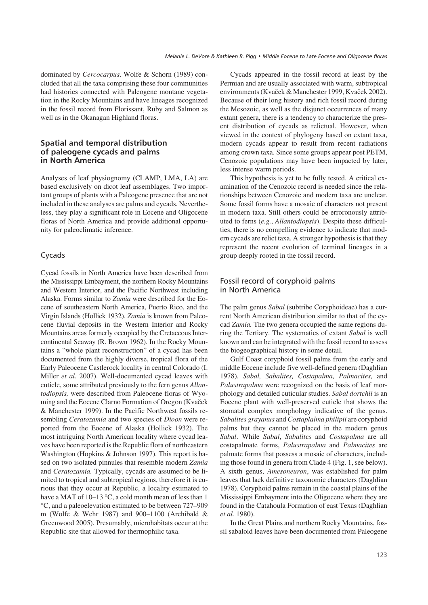dominated by *Cercocarpus*. Wolfe & Schorn (1989) concluded that all the taxa comprising these four communities had histories connected with Paleogene montane vegetation in the Rocky Mountains and have lineages recognized in the fossil record from Florissant, Ruby and Salmon as well as in the Okanagan Highland floras.

# **Spatial and temporal distribution of paleogene cycads and palms** in North America

Analyses of leaf physiognomy (CLAMP, LMA, LA) are based exclusively on dicot leaf assemblages. Two important groups of plants with a Paleogene presence that are not included in these analyses are palms and cycads. Nevertheless, they play a significant role in Eocene and Oligocene floras of North America and provide additional opportunity for paleoclimatic inference.

# Cycads

Cycad fossils in North America have been described from the Mississippi Embayment, the northern Rocky Mountains and Western Interior, and the Pacific Northwest including Alaska. Forms similar to *Zamia* were described for the Eocene of southeastern North America, Puerto Rico, and the Virgin Islands (Hollick 1932). *Zamia* is known from Paleocene fluvial deposits in the Western Interior and Rocky Mountains areas formerly occupied by the Cretaceous Intercontinental Seaway (R. Brown 1962). In the Rocky Mountains a "whole plant reconstruction" of a cycad has been documented from the highly diverse, tropical flora of the Early Paleocene Castlerock locality in central Colorado (I. Miller *et al.* 2007). Well-documented cycad leaves with cuticle, some attributed previously to the fern genus *Allantodiopsis,* were described from Paleocene floras of Wyoming and the Eocene Clarno Formation of Oregon (Kvaček & Manchester 1999). In the Pacific Northwest fossils resembling *Ceratozamia* and two species of *Dioon* were reported from the Eocene of Alaska (Hollick 1932). The most intriguing North American locality where cycad leaves have been reported is the Republic flora of northeastern Washington (Hopkins & Johnson 1997). This report is based on two isolated pinnules that resemble modern *Zamia* and *Ceratozamia.* Typically, cycads are assumed to be limited to tropical and subtropical regions, therefore it is curious that they occur at Republic, a locality estimated to have a MAT of 10–13 °C, a cold month mean of less than 1 °C, and a paleoelevation estimated to be between 727–909 m (Wolfe & Wehr 1987) and 900–1100 (Archibald & Greenwood 2005). Presumably, microhabitats occur at the Republic site that allowed for thermophilic taxa.

Cycads appeared in the fossil record at least by the Permian and are usually associated with warm, subtropical environments (Kvaček & Manchester 1999, Kvaček 2002). Because of their long history and rich fossil record during the Mesozoic, as well as the disjunct occurrences of many extant genera, there is a tendency to characterize the present distribution of cycads as relictual. However, when viewed in the context of phylogeny based on extant taxa, modern cycads appear to result from recent radiations among crown taxa. Since some groups appear post PETM, Cenozoic populations may have been impacted by later, less intense warm periods.

This hypothesis is yet to be fully tested. A critical examination of the Cenozoic record is needed since the relationships between Cenozoic and modern taxa are unclear. Some fossil forms have a mosaic of characters not present in modern taxa. Still others could be erroronously attributed to ferns (*e.g.*, *Allantodiopsis*). Despite these difficulties, there is no compelling evidence to indicate that modern cycads are relict taxa. A stronger hypothesis is that they represent the recent evolution of terminal lineages in a group deeply rooted in the fossil record.

# Fossil record of coryphoid palms in North America

The palm genus *Sabal* (subtribe Coryphoideae) has a current North American distribution similar to that of the cycad *Zamia.* The two genera occupied the same regions during the Tertiary. The systematics of extant *Sabal* is well known and can be integrated with the fossil record to assess the biogeographical history in some detail.

Gulf Coast coryphoid fossil palms from the early and middle Eocene include five well-defined genera (Daghlian 1978). *Sabal, Sabalites, Costapalma, Palmacites,* and *Palustrapalma* were recognized on the basis of leaf morphology and detailed cuticular studies. *Sabal dortchii* is an Eocene plant with well-preserved cuticle that shows the stomatal complex morphology indicative of the genus. *Sabalites grayanus* and *Costaplalma philipii* are coryphoid palms but they cannot be placed in the modern genus *Sabal*. While *Sabal*, *Sabalites* and *Costapalma* are all costapalmate forms, *Palustrapalma* and *Palmacites* are palmate forms that possess a mosaic of characters, including those found in genera from Clade 4 (Fig. 1, see below). A sixth genus, *Amesoneuron*, was established for palm leaves that lack definitive taxonomic characters (Daghlian 1978). Coryphoid palms remain in the coastal plains of the Mississippi Embayment into the Oligocene where they are found in the Catahoula Formation of east Texas (Daghlian *et al.* 1980).

In the Great Plains and northern Rocky Mountains, fossil sabaloid leaves have been documented from Paleogene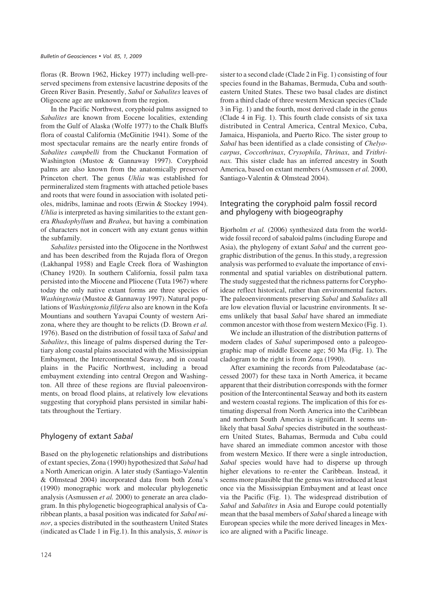floras (R. Brown 1962, Hickey 1977) including well-preserved specimens from extensive lacustrine deposits of the Green River Basin. Presently, *Sabal* or *Sabalites* leaves of Oligocene age are unknown from the region.

In the Pacific Northwest, coryphoid palms assigned to *Sabalites* are known from Eocene localities, extending from the Gulf of Alaska (Wolfe 1977) to the Chalk Bluffs flora of coastal California (McGinitie 1941). Some of the most spectacular remains are the nearly entire fronds of *Sabalites campbelli* from the Chuckanut Formation of Washington (Mustoe & Gannaway 1997). Coryphoid palms are also known from the anatomically preserved Princeton chert. The genus *Uhlia* was established for permineralized stem fragments with attached petiole bases and roots that were found in association with isolated petioles, midribs, laminae and roots (Erwin & Stockey 1994). *Uhlia* is interpreted as having similarities to the extant genera *Rhadophyllum* and *Brahea*, but having a combination of characters not in concert with any extant genus within the subfamily.

*Sabalites* persisted into the Oligocene in the Northwest and has been described from the Rujada flora of Oregon (Lakhanpal 1958) and Eagle Creek flora of Washington (Chaney 1920). In southern California, fossil palm taxa persisted into the Miocene and Pliocene (Tuta 1967) where today the only native extant forms are three species of *Washingtonia* (Mustoe & Gannaway 1997). Natural populations of *Washingtonia filifera* also are known in the Kofa Mountians and southern Yavapai County of western Arizona, where they are thought to be relicts (D. Brown *et al.* 1976). Based on the distribution of fossil taxa of *Sabal* and *Sabalites*, this lineage of palms dispersed during the Tertiary along coastal plains associated with the Mississippian Embayment, the Intercontinental Seaway, and in coastal plains in the Pacific Northwest, including a broad embayment extending into central Oregon and Washington. All three of these regions are fluvial paleoenvironments, on broad flood plains, at relatively low elevations suggesting that coryphoid plans persisted in similar habitats throughout the Tertiary.

## Phylogeny of extant Sabal

Based on the phylogenetic relationships and distributions of extant species, Zona (1990) hypothesized that *Sabal* had a North American origin. A later study (Santiago-Valentin & Olmstead 2004) incorporated data from both Zona's (1990) monographic work and molecular phylogenetic analysis (Asmussen *et al.* 2000) to generate an area cladogram. In this phylogenetic biogeographical analysis of Caribbean plants, a basal position was indicated for *Sabal minor*, a species distributed in the southeastern United States (indicated as Clade 1 in Fig.1). In this analysis, *S. minor* is sister to a second clade (Clade 2 in Fig. 1) consisting of four species found in the Bahamas, Bermuda, Cuba and southeastern United States. These two basal clades are distinct from a third clade of three western Mexican species (Clade 3 in Fig. 1) and the fourth, most derived clade in the genus (Clade 4 in Fig. 1). This fourth clade consists of six taxa distributed in Central America, Central Mexico, Cuba, Jamaica, Hispaniola, and Puerto Rico. The sister group to *Sabal* has been identified as a clade consisting of *Chelyocarpus*, *Coccothrinax*, *Crysophila*, *Thrinax*, and *Trithrinax.* This sister clade has an inferred ancestry in South America, based on extant members (Asmussen *et al.* 2000, Santiago-Valentin & Olmstead 2004).

# Integrating the coryphoid palm fossil record and phylogeny with biogeography

Bjorholm *et al.* (2006) synthesized data from the worldwide fossil record of sabaloid palms (including Europe and Asia), the phylogeny of extant *Sabal* and the current geographic distribution of the genus. In this study, a regression analysis was performed to evaluate the importance of environmental and spatial variables on distributional pattern. The study suggested that the richness patterns for Coryphoideae reflect historical, rather than environmental factors. The paleoenvironments preserving *Sabal* and *Sabalites* all are low elevation fluvial or lacustrine environments. It seems unlikely that basal *Sabal* have shared an immediate common ancestor with those from western Mexico (Fig. 1).

We include an illustration of the distribution patterns of modern clades of *Sabal* superimposed onto a paleogeographic map of middle Eocene age; 50 Ma (Fig. 1). The cladogram to the right is from Zona (1990).

After examining the records from Paleodatabase (accessed 2007) for these taxa in North America, it became apparent that their distribution corresponds with the former position of the Intercontinental Seaway and both its eastern and western coastal regions. The implication of this for estimating dispersal from North America into the Caribbean and northern South America is significant. It seems unlikely that basal *Sabal* species distributed in the southeastern United States, Bahamas, Bermuda and Cuba could have shared an immediate common ancestor with those from western Mexico. If there were a single introduction, *Sabal* species would have had to disperse up through higher elevations to re-enter the Caribbean. Instead, it seems more plausible that the genus was introduced at least once via the Mississippian Embayment and at least once via the Pacific (Fig. 1). The widespread distribution of *Sabal* and *Sabalites* in Asia and Europe could potentially mean that the basal members of *Sabal*shared a lineage with European species while the more derived lineages in Mexico are aligned with a Pacific lineage.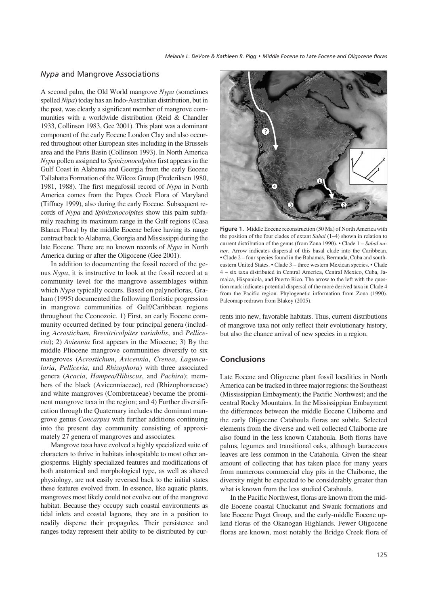# *Nypa* and Mangrove Associations

A second palm, the Old World mangrove *Nypa* (sometimes spelled*Nipa*) today has an Indo-Australian distribution, but in the past, was clearly a significant member of mangrove communities with a worldwide distribution (Reid & Chandler 1933, Collinson 1983, Gee 2001). This plant was a dominant component of the early Eocene London Clay and also occurred throughout other European sites including in the Brussels area and the Paris Basin (Collinson 1993). In North America *Nypa* pollen assigned to *Spinizonocolpites* first appears in the Gulf Coast in Alabama and Georgia from the early Eocene Tallahatta Formation of the Wilcox Group (Frederiksen 1980, 1981, 1988). The first megafossil record of *Nypa* in North America comes from the Popes Creek Flora of Maryland (Tiffney 1999), also during the early Eocene. Subsequent records of *Nypa* and *Spinizonocolpites* show this palm subfamily reaching its maximum range in the Gulf regions (Casa Blanca Flora) by the middle Eocene before having its range contract back to Alabama, Georgia and Mississippi during the late Eocene. There are no known records of *Nypa* in North America during or after the Oligocene (Gee 2001).

In addition to documenting the fossil record of the genus *Nypa*, it is instructive to look at the fossil record at a community level for the mangrove assemblages within which *Nypa* typically occurs. Based on palynofloras, Graham (1995) documented the following floristic progression in mangrove communities of Gulf/Caribbean regions throughout the Ceonozoic. 1) First, an early Eocene community occurred defined by four principal genera (including *Acrostichum*, *Brevitricolpites variabilis*, and *Pelliceria*); 2) *Aviennia* first appears in the Miocene; 3) By the middle Pliocene mangrove communities diversify to six mangroves (*Acrostichum*, *Avicennia*, *Crenea*, *Laguncularia*, *Pelliceria*, and *Rhizophora*) with three associated genera (*Acacia*, *Hampea/Hibiscus*, and *Pachira*); members of the black (Avicenniaceae), red (Rhizophoraceae) and white mangroves (Combretaceae) became the prominent mangrove taxa in the region; and 4) Further diversification through the Quaternary includes the dominant mangrove genus *Concarpus* with further additions continuing into the present day community consisting of approximately 27 genera of mangroves and associates.

Mangrove taxa have evolved a highly specialized suite of characters to thrive in habitats inhospitable to most other angiosperms. Highly specialized features and modifications of both anatomical and morphological type, as well as altered physiology, are not easily reversed back to the initial states these features evolved from. In essence, like aquatic plants, mangroves most likely could not evolve out of the mangrove habitat. Because they occupy such coastal environments as tidal inlets and coastal lagoons, they are in a position to readily disperse their propagules. Their persistence and ranges today represent their ability to be distributed by cur-



**Figure 1.** Middle Eocene reconstruction (50 Ma) of North America with the position of the four clades of extant *Sabal* (1–4) shown in relation to current distribution of the genus (from Zona 1990). • Clade 1 – *Sabal minor*. Arrow indicates dispersal of this basal clade into the Caribbean. • Clade 2 – four species found in the Bahamas, Bermuda, Cuba and southeastern United States. • Clade 3 – three western Mexican species. • Clade 4 – six taxa distributed in Central America, Central Mexico, Cuba, Jamaica, Hispaniola, and Puerto Rico. The arrow to the left with the question mark indicates potential dispersal of the more derived taxa in Clade 4 from the Pacific region. Phylogenetic information from Zona (1990). Paleomap redrawn from Blakey (2005).

rents into new, favorable habitats. Thus, current distributions of mangrove taxa not only reflect their evolutionary history, but also the chance arrival of new species in a region.

# **Conclusions**

Late Eocene and Oligocene plant fossil localities in North America can be tracked in three major regions: the Southeast (Mississippian Embayment); the Pacific Northwest; and the central Rocky Mountains. In the Mississippian Embayment the differences between the middle Eocene Claiborne and the early Oligocene Catahoula floras are subtle. Selected elements from the diverse and well collected Claiborne are also found in the less known Catahoula. Both floras have palms, legumes and transitional oaks, although lauraceous leaves are less common in the Catahoula. Given the shear amount of collecting that has taken place for many years from numerous commercial clay pits in the Claiborne, the diversity might be expected to be considerably greater than what is known from the less studied Catahoula.

In the Pacific Northwest, floras are known from the middle Eocene coastal Chuckanut and Swauk formations and late Eocene Puget Group, and the early-middle Eocene upland floras of the Okanogan Highlands. Fewer Oligocene floras are known, most notably the Bridge Creek flora of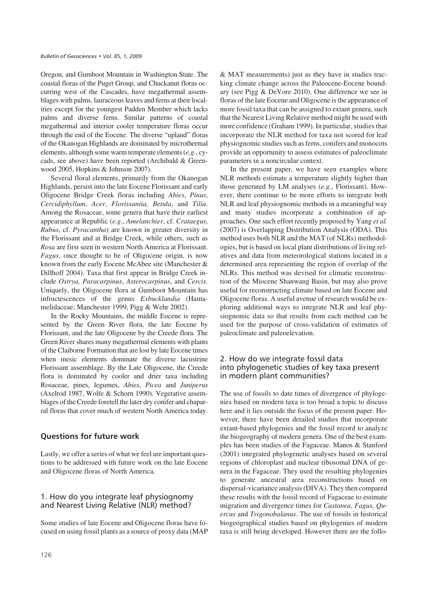Oregon, and Gumboot Mountain in Washington State. The coastal floras of the Puget Group, and Chuckanut floras occurring west of the Cascades, have megathermal assemblages with palms, lauraceous leaves and ferns at their localities except for the youngest Padden Member which lacks palms and diverse ferns. Similar patterns of coastal megathermal and interior cooler temperature floras occur through the end of the Eocene. The diverse "upland" floras of the Okanogan Highlands are dominated by microthermal elements, although some warm temperate elements (*e.g.*, cycads, see above) have been reported (Archibald & Greenwood 2005, Hopkins & Johnson 2007).

Several floral elements, primarily from the Okanogan Highlands, persist into the late Eocene Florissant and early Oligocene Bridge Creek floras including *Abies*, *Pinus*, *Cercidiphyllum*, *Acer*, *Florissantia, Betula*, and *Tilia.* Among the Rosaceae, some genera that have their earliest appearance at Republic (*e.g*., *Amelanchier*, cf. *Crataegus*, *Rubus*, cf. *Pyracantha*) are known in greater diversity in the Florissant and at Bridge Creek, while others, such as *Rosa* are first seen in western North America at Florissant. *Fagus*, once thought to be of Oligocene origin, is now known from the early Eocene McAbee site (Manchester & Dillhoff 2004). Taxa that first appear in Bridge Creek include *Ostrya, Paracarpinus*, *Asterocarpinus*, and *Cercis.* Uniquely, the Oligocene flora at Gumboot Mountain has infructescences of the genus *Exbucklandia* (Hamamelidaceae; Manchester 1999, Pigg & Wehr 2002).

In the Rocky Mountains, the middle Eocene is represented by the Green River flora, the late Eocene by Florissant, and the late Oligocene by the Creede flora. The Green River shares many megathermal elements with plants of the Claiborne Formation that are lost by late Eocene times when mesic elements dominate the diverse lacustrine Florissant assemblage. By the Late Oligocene, the Creede flora is dominated by cooler and drier taxa including Rosaceae, pines, legumes, *Abies*, *Picea* and *Juniperus* (Axelrod 1987, Wolfe & Schorn 1990). Vegetative assemblages of the Creede foretell the later dry conifer and chaparral floras that cover much of western North America today.

## **Questions for future work**

Lastly, we offer a series of what we feel are important questions to be addressed with future work on the late Eocene and Oligocene floras of North America.

# 1. How do you integrate leaf physiognomy and Nearest Living Relative (NLR) method?

Some studies of late Eocene and Oligocene floras have focused on using fossil plants as a source of proxy data (MAP & MAT measurements) just as they have in studies tracking climate change across the Paleocene-Eocene boundary (see Pigg & DeVore 2010). One difference we see in floras of the late Eocene and Oligocene is the appearance of more fossil taxa that can be assigned to extant genera, such that the Nearest Living Relative method might be used with more confidence (Graham 1999). In particular, studies that incorporate the NLR method for taxa not scored for leaf physiognomic studies such as ferns, conifers and monocots provide an opportunity to assess estimates of paleoclimate parameters in a noncircular context.

In the present paper, we have seen examples where NLR methods estimate a temperature slightly higher than those generated by LM analyses (*e.g.*, Florissant). However, there continue to be more efforts to integrate both NLR and leaf physiognomic methods in a meaningful way and many studies incorporate a combination of approaches. One such effort recently proposed by Yang *et al.* (2007) is Overlapping Distribution Analysis (ODA). This method uses both NLR and the MAT (of NLRs) methodologies, but is based on local plant distributions of living relatives and data from meteorological stations located in a determined area representing the region of overlap of the NLRs. This method was devised for climatic reconstruction of the Miocene Shanwang Basin, but may also prove useful for reconstructing climate based on late Eocene and Oligocene floras. A useful avenue of research would be exploring additional ways to integrate NLR and leaf physiognomic data so that results from each method can be used for the purpose of cross-validation of estimates of paleoclimate and paleoelevation.

# 2. How do we integrate fossil data into phylogenetic studies of key taxa present in modern plant communities?

The use of fossils to date times of divergence of phylogenies based on modern taxa is too broad a topic to discuss here and it lies outside the focus of the present paper. However, there have been detailed studies that incorporate extant-based phylogenies and the fossil record to analyze the biogeography of modern genera. One of the best examples has been studies of the Fagaceae. Manos & Stanford (2001) integrated phylogenetic analyses based on several regions of chloroplast and nuclear ribosomal DNA of genera in the Fagaceae. They used the resulting phylogenies to generate ancestral area reconstructions based on dispersal-vicariance analysis (DIVA). They then compared these results with the fossil record of Fagaceae to estimate migration and divergence times for *Castanea, Fagus*, *Quercus* and *Trigonobalanus*. The use of fossils in historical biogeographical studies based on phylogenies of modern taxa is still being developed. However there are the follo-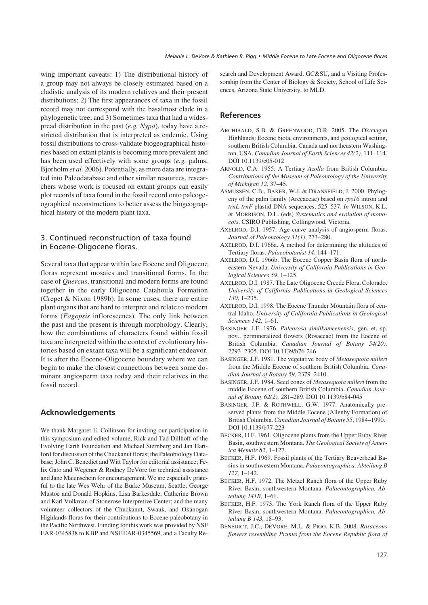wing important caveats: 1) The distributional history of a group may not always be closely estimated based on a cladistic analysis of its modern relatives and their present distributions; 2) The first appearances of taxa in the fossil record may not correspond with the basalmost clade in a phylogenetic tree; and 3) Sometimes taxa that had a widespread distribution in the past (*e.g. Nypa*), today have a restricted distribution that is interpreted as endemic. Using fossil distributions to cross-validate biogeographical histories based on extant plants is becoming more prevalent and has been used effectively with some groups (*e.g.* palms, Bjorholm *et al.* 2006). Potentially, as more data are integrated into Paleodatabase and other similar resources, researchers whose work is focused on extant groups can easily plot records of taxa found in the fossil record onto paleogeographical reconstructions to better assess the biogeographical history of the modern plant taxa.

# 3. Continued reconstruction of taxa found in Eocene-Oligocene floras.

Several taxa that appear within late Eocene and Oligocene floras represent mosaics and transitional forms. In the case of *Quercus*, transitional and modern forms are found together in the early Oligocene Catahoula Formation (Crepet & Nixon 1989b). In some cases, there are entire plant organs that are hard to interpret and relate to modern forms (*Fagopsis* inflorescenes). The only link between the past and the present is through morphology. Clearly, how the combinations of characters found within fossil taxa are interpreted within the context of evolutionary histories based on extant taxa will be a significant endeavor. It is after the Eocene-Oligocene boundary where we can begin to make the closest connections between some dominant angiosperm taxa today and their relatives in the fossil record.

# **Acknowledgements**

We thank Margaret E. Collinson for inviting our participation in this symposium and edited volume, Rick and Tad Dillhoff of the Evolving Earth Foundation and Michael Sternberg and Jan Hartford for discussion of the Chuckanut floras; the Paleobiology Database; John C. Benedict and Witt Taylor for editorial assistance; Felix Gato and Wegener & Rodney DeVore for technical assistance and Jane Maienschein for encouragement. We are especially grateful to the late Wes Wehr of the Burke Museum, Seattle; George Mustoe and Donald Hopkins; Lisa Barkesdale, Catherine Brown and Karl Volkman of Stonerose Interpretive Center; and the many volunteer collectors of the Chuckanut, Swauk, and Okanogan Highlands floras for their contributions to Eocene paleobotany in the Pacific Northwest. Funding for this work was provided by NSF EAR-0345838 to KBP and NSF EAR-0345569, and a Faculty Research and Development Award, GC&SU, and a Visiting Professorship from the Center of Biology & Society, School of Life Sciences, Arizona State University, to MLD.

## **References**

- ARCHIBALD, S.B. & GREENWOOD, D.R. 2005. The Okanagan Highlands: Eocene biota, environments, and geological setting, southern British Columbia, Canada and northeastern Washington, USA. *Canadian Journal of Earth Sciences 42(2),* 111–114. DOI 10.1139/e05-012
- ARNOLD, C.A. 1955. A Tertiary *Azolla* from British Columbia. *Contributions of the Museum of Paleontology of the University of Michigan 12,* 37–45.
- ASMUSSEN, C.B., BAKER, W.J. & DRANSFIELD, J. 2000. Phylogeny of the palm family (Arecaceae) based on *rps16* intron and *trnL*-*trnF* plastid DNA sequences, 525–537. *In* WILSON, K.L. & MORRISON, D.L. (eds) *Systematics and evolution of monocots*. CSIRO Publishing, Collingwood, Victoria.
- AXELROD, D.I. 1957. Age-curve analysis of angiosperm floras. *Journal of Paleontology 31(1)*, 273–280.
- AXELROD, D.I. 1966a. A method for determining the altitudes of Tertiary floras. *Palaeobotanist 14*, 144–171.
- AXELROD, D.I. 1966b. The Eocene Copper Basin flora of northeastern Nevada. *University of California Publications in Geological Sciences 59*, 1–125.
- AXELROD, D.I. 1987. The Late Oligocene Creede Flora, Colorado. *University of California Publications in Geological Sciences 130*, 1–235.
- AXELROD, D.I. 1998. The Eocene Thunder Mountain flora of central Idaho. *University of California Publications in Geological Sciences 142,* 1–61.
- BASINGER, J.F. 1976. *Paleorosa similkameenensis*, gen. et. sp. nov., permineralized flowers (Rosaceae) from the Eocene of British Columbia. *Canadian Journal of Botany 54(20),* 2293–2305. DOI 10.1139/b76-246
- BASINGER, J.F. 1981. The vegetative body of *Metasequoia milleri* from the Middle Eocene of southern British Columbia. *Canadian Journal of Botany 59,* 2379–2410.
- BASINGER, J.F. 1984. Seed cones of *Metasequoia milleri* from the middle Eocene of southern British Columbia. *Canadian Journal of Botany 62(2),* 281–289. DOI 10.1139/b84-045
- BASINGER, J.F. & ROTHWELL, G.W. 1977. Anatomically preserved plants from the Middle Eocene (Allenby Formation) of British Columbia. *Canadian Journal of Botany 55*, 1984–1990. DOI 10.1139/b77-223
- BECKER, H.F. 1961. Oligocene plants from the Upper Ruby River Basin, southwestern Montana. *The Geological Society of America Memoir 82*, 1–127.
- BECKER, H.F. 1969. Fossil plants of the Tertiary Beaverhead Basins in southwestern Montana. *Palaeontographica, Abteilung B 127,* 1–142.
- BECKER, H.F. 1972. The Metzel Ranch flora of the Upper Ruby River Basin, southwestern Montana. *Palaeontographica, Abteilung 141B,* 1–61.
- BECKER, H.F. 1973. The York Ranch flora of the Upper Ruby River Basin, southwestern Montana. *Palaeontographica, Abteilung B 143,* 18–93.
- BENEDICT, J.C., DEVORE, M.L. & PIGG, K.B. 2008. *Rosaceous flowers resembling Prunus from the Eocene Republic flora of*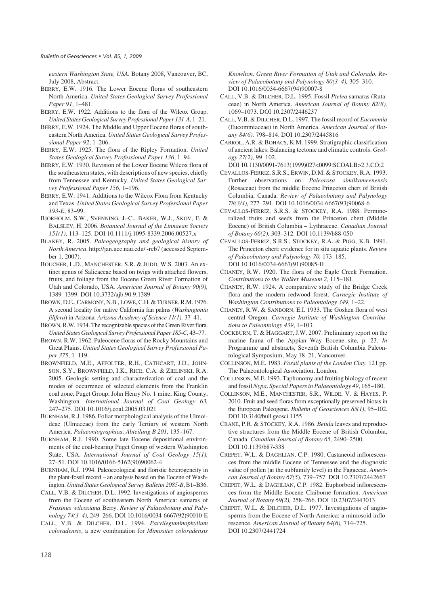*eastern Washington State, USA.* Botany 2008, Vancouver, BC, July 2008, Abstract.

- BERRY, E.W. 1916. The Lower Eocene floras of southeastern North America. *United States Geological Survey Professional Paper 91*, 1–481.
- BERRY, E.W. 1922. Additions to the flora of the Wilcox Group. *United States Geological Survey Professional Paper 131-A*, 1–21.
- BERRY, E.W. 1924. The Middle and Upper Eocene floras of southeastern North America. *United States Geological Survey Professional Paper 92*, 1–206.
- BERRY, E.W. 1925. The flora of the Ripley Formation. *United States Geological Survey Professional Paper 136*, 1–94.
- BERRY, E.W. 1930. Revision of the Lower Eocene Wilcox flora of the southeastern states, with descriptions of new species, chiefly from Tennessee and Kentucky. *United States Geological Survey Professional Paper 156*, 1–196.
- BERRY, E.W. 1941. Additions to the Wilcox Flora from Kentucky and Texas. *United States Geological Survey Professional Paper 193-E*, 83–99.
- BJORHOLM, S.W., SVENNING, J.-C., BAKER, W.J., SKOV, F. & BALSLEV, H. 2006. *Botanical Journal of the Linnaean Society 151(1)*, 113–125. DOI 10.1111/j.1095-8339.2006.00527.x
- BLAKEY, R. 2005. *Paleogeography and geological history of North America*. http://jan.ucc.nau.edu/~rcb7 (accessed September 1, 2007).
- BOUCHER, L.D., MANCHESTER, S.R. & JUDD, W.S. 2003. An extinct genus of Salicaceae based on twigs with attached flowers, fruits, and foliage from the Eocene Green River Formation of Utah and Colorado, USA. *American Journal of Botany 90(9),* 1389–1399. DOI 10.3732/ajb.90.9.1389
- BROWN, D.E., CARMONY, N.B., LOWE, C.H. & TURNER, R.M. 1976. A second locality for native California fan palms (*Washingtonia filifera*) in Arizona. *Arizona Academy of Science 11(1),* 37–41.
- BROWN, R.W. 1934. The recognizable species of the Green River flora. *United States Geological Survey Professional Paper 185-C,* 43–77.
- BROWN, R.W. 1962. Paleocene floras of the Rocky Mountains and Great Plains. *United States Geological Survey Professional Paper 375*, 1–119.
- BROWNFIELD, M.E., AFFOLTER, R.H., CATHCART, J.D., JOHN-SON, S.Y., BROWNFIELD, I.K., RICE, C.A. & ZIELINSKI, R.A. 2005. Geologic setting and characterization of coal and the modes of occurrence of selected elements from the Franklin coal zone, Puget Group, John Henry No. 1 mine, King County, Washington. *International Journal of Coal Geology 63,* 247–275. DOI 10.1016/j.coal.2005.03.021
- BURNHAM, R.J. 1986. Foliar morphological analysis of the Ulmoideae (Ulmaceae) from the early Tertiary of western North America. *Palaeontographica, Abteilung B 201,* 135–167.
- BURNHAM, R.J. 1990. Some late Eocene depositional environments of the coal-bearing Puget Group of western Washington State, USA. *International Journal of Coal Geology 15(1),* 27–51. DOI 10.1016/0166-5162(90)90062-4
- BURNHAM, R.J. 1994. Paleoecological and floristic heterogeneity in the plant-fossil record – an analysis based on the Eocene of Washington. *United States Geological Survey Bulletin 2085-B*, B1–B36.
- CALL, V.B. & DILCHER, D.L. 1992. Investigations of angiosperms from the Eocene of southeastern North America: samaras of *Fraxinus wilcoxiana* Berry. *Review of Palaeobotany and Palynology 74(3–4),* 249–266. DOI 10.1016/0034-6667(92)90010-E
- CALL, V.B. & DILCHER, D.L. 1994. *Parvileguminophyllum coloradensis*, a new combination for *Mimosites coloradensis*

*Knowlton, Green River Formation of Utah and Colorado. Review of Palaeobotany and Palynology 80(3–4),* 305–310. DOI 10.1016/0034-6667(94)90007-8

- CALL, V.B. & DILCHER, D.L. 1995. Fossil *Ptelea* samaras (Rutaceae) in North America. *American Journal of Botany 82(8),* 1069–1073. DOI 10.2307/2446237
- CALL, V.B. & DILCHER, D.L. 1997. The fossil record of *Eucommia* (Eucommiaceae) in North America. *American Journal of Botany 84(6),* 798–814. DOI 10.2307/2445816
- CARROL, A.R. & BOHACS, K.M. 1999. Stratigraphic classification of ancient lakes: Balancing tectonic and climatic controls. *Geology 27(2),* 99–102.
- DOI 10.1130/0091-7613(1999)027<0099:SCOALB>2.3.CO;2
- CEVALLOS-FERRIZ, S.R.S., ERWIN, D.M. & STOCKEY, R.A. 1993. Further observations on *Paleorosa similkameenensis* (Rosaceae) from the middle Eocene Princeton chert of British Columbia, Canada. *Review of Palaeobotany and Palynology 78(3/4),* 277–291. DOI 10.1016/0034-6667(93)90068-6
- CEVALLOS-FERRIZ, S.R.S. & STOCKEY, R.A. 1988. Permineralized fruits and seeds from the Princeton chert (Middle Eocene) of British Columbia – Lythraceae. *Canadian Journal of Botany 66(2),* 303–312. DOI 10.1139/b88-050
- CEVALLOS-FERRIZ, S.R.S., STOCKEY, R.A. & PIGG, K.B. 1991. The Princeton chert: evidence for in situ aquatic plants. *Review of Palaeobotany and Palynology 70,* 173–185. DOI 10.1016/0034-6667(91)90085-H
- CHANEY, R.W. 1920. The flora of the Eagle Creek Formation. *Contributions to the Walker Museum 2,* 115–181.
- CHANEY, R.W. 1924. A comparative study of the Bridge Creek flora and the modern redwood forest. *Carnegie Institute of Washington Contributions to Paleontology 349*, 1–22.
- CHANEY, R.W. & SANBORN, E.I. 1933. The Goshen flora of west central Oregon. *Carnegie Institute of Washington Contributions to Paleontology 439*, 1–103.
- COCKBURN, T. & HAGGART, J.W. 2007. Preliminary report on the marine fauna of the Appian Way Eocene site, p. 23. *In* Programme and abstracts, Seventh British Columbia Paleontological Symposium, May 18–21, Vancouver.
- COLLINSON, M.E. 1983. *Fossil plants of the London Clay.* 121 pp. The Palaeontological Association, London.
- COLLINSON, M.E. 1993. Taphonomy and fruiting biology of recent and fossil *Nypa*. *Special Papers in Palaeontology 49*, 165–180.
- COLLINSON, M.E., MANCHESTER, S.R., WILDE, V. & HAYES, P. 2010. Fruit and seed floras from exceptionally preserved biotas in the European Paleogene. *Bulletin of Geosciences 85(1)*, 95–102. DOI 10.3140/bull.geosci.1155
- CRANE, P.R. & STOCKEY, R.A. 1986. *Betula* leaves and reproductive structures from the Middle Eocene of British Columbia, Canada. *Canadian Journal of Botany 65,* 2490–2500. DOI 10.1139/b87-338
- CREPET, W.L. & DAGHLIAN, C.P. 1980. Castaneoid inflorescences from the middle Eocene of Tennessee and the diagnostic value of pollen (at the subfamily level) in the Fagaceae. *American Journal of Botany 67(5*), 739–757. DOI 10.2307/2442667
- CREPET, W.L. & DAGHLIAN, C.P. 1982. Euphorboid inflorescences from the Middle Eocene Claiborne formation. *American Journal of Botany 69(2),* 258–266. DOI 10.2307/2443013
- CREPET, W.L. & DILCHER, D.L. 1977. Investigations of angiosperms from the Eocene of North America: a mimosoid inflorescence. *American Journal of Botany 64(6),* 714–725. DOI 10.2307/2441724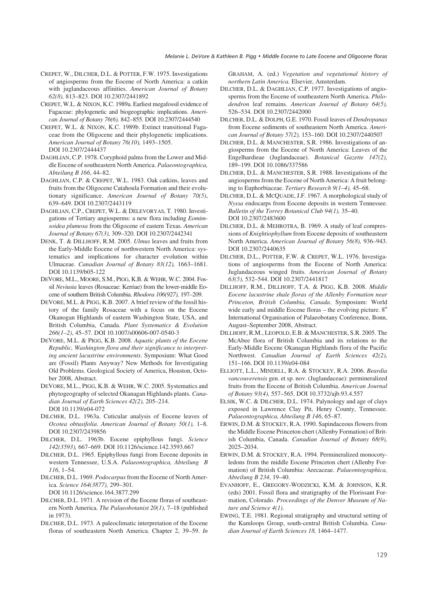- CREPET, W., DILCHER, D.L. & POTTER, F.W. 1975. Investigations of angiosperms from the Eocene of North America: a catkin with juglandaceous affinities. *American Journal of Botany 62(8),* 813–823. DOI 10.2307/2441892
- CREPET, W.L. & NIXON, K.C. 1989a. Earliest megafossil evidence of Fagaceae: phylogenetic and biogeographic implications. *American Journal of Botany 76(6),* 842–855. DOI 10.2307/2444540
- CREPET, W.L. & NIXON, K.C. 1989b. Extinct transitional Fagaceae from the Oligocene and their phylogenetic implications. *American Journal of Botany 76(10),* 1493–1505. DOI 10.2307/2444437
- DAGHLIAN, C.P. 1978. Coryphoid palms from the Lower and Middle Eocene of southeastern North America. *Palaeontographica, Abteilung B 166*, 44–82.
- DAGHLIAN, C.P. & CREPET, W.L. 1983. Oak catkins, leaves and fruits from the Oligocene Catahoula Formation and their evolutionary significance. *American Journal of Botany 70(5)*, 639–649. DOI 10.2307/2443119
- DAGHLIAN, C.P., CREPET, W.L. & DELEVORYAS, T. 1980. Investigations of Tertiary angiosperms: a new flora including *Eomimsoidea plumosa* from the Oligocene of eastern Texas. *American Journal of Botany 67(3),* 309–320. DOI 10.2307/2442341
- DENK, T. & DILLHOFF, R.M. 2005. *Ulmus* leaves and fruits from the Early-Middle Eocene of northwestern North America: systematics and implications for character evolution within Ulmaceae. *Canadian Journal of Botany 83(12),* 1663–1681. DOI 10.1139/b05-122
- DEVORE, M.L., MOORE, S.M., PIGG, K.B. & WEHR, W.C. 2004. Fossil *Neviusia* leaves (Rosaceae: Kerriae) from the lower-middle Eocene of southern British Columbia. *Rhodora 106(927),* 197–209.
- DEVORE, M.L. & PIGG, K.B. 2007. A brief review of the fossil history of the family Rosaceae with a focus on the Eocene Okanogan Highlands of eastern Washington State, USA, and British Columbia, Canada. *Plant Systematics & Evolution 266(1–2)*, 45–57. DOI 10.1007/s00606-007-0540-3
- DEVORE, M.L. & PIGG, K.B. 2008. *Aquatic plants of the Eocene Republic, Washington flora and their significance to interpreting ancient lacustrine environments*. Symposium: What Good are (Fossil) Plants Anyway? New Methods for Investigating Old Problems. Geological Society of America, Houston, October 2008, Abstract.
- DEVORE, M.L., PIGG, K.B. & WEHR, W.C. 2005. Systematics and phytogeography of selected Okanagan Highlands plants. *Canadian Journal of Earth Sciences 42(2),* 205–214. DOI 10.1139/e04-072
- DILCHER, D.L. 1963a. Cuticular analysis of Eocene leaves of *Ocotea obtusifolia*. *American Journal of Botany 50(1),* 1–8. DOI 10.2307/2439856
- DILCHER, D.L. 1963b. Eocene epiphyllous fungi. *Science 142(3593),* 667–669. DOI 10.1126/science.142.3593.667
- DILCHER, D.L. 1965. Epiphyllous fungi from Eocene deposits in western Tennessee, U.S.A. *Palaeontographica, Abteilung B 116*, 1–54.

DILCHER, D.L. 1969. *Podocarpus*from the Eocene of North America. *Science 164(3877),* 299–301. DOI 10.1126/science.164.3877.299

- DILCHER, D.L. 1971. A revision of the Eocene floras of southeastern North America. *The Palaeobotanist 20(1),* 7–18 (published in 1973).
- DILCHER, D.L. 1973. A paleoclimatic interpretation of the Eocene floras of southeastern North America. Chapter 2, 39–59. *In*

GRAHAM, A. (ed.) *Vegetation and vegetational history of northern Latin America.* Elsevier, Amsterdam.

- DILCHER, D.L. & DAGHLIAN, C.P. 1977. Investigations of angiosperms from the Eocene of southeastern North America. *Philodendron* leaf remains. *American Journal of Botany 64(5),* 526–534. DOI 10.2307/2442000
- DILCHER, D.L. & DOLPH, G.E. 1970. Fossil leaves of *Dendropanax* from Eocene sediments of southeastern North America. *American Journal of Botany 57(2),* 153–160. DOI 10.2307/2440507
- DILCHER, D.L. & MANCHESTER, S.R. 1986. Investigations of angiosperms from the Eocene of North America: Leaves of the Engelhardieae (Juglandaceae). *Botanical Gazette 147(2),* 189–199. DOI 10.1086/337586
- DILCHER, D.L. & MANCHESTER, S.R. 1988. Investigations of the angiosperms from the Eocene of North America: A fruit belonging to Euphorbiaceae. *Tertiary Research 9(1–4),* 45–68.
- DILCHER, D.L. & MCQUADE, J.F. 1967. A morphological study of *Nyssa* endocarps from Eocene deposits in western Tennessee. *Bulletin of the Torrey Botanical Club 94(1),* 35–40. DOI 10.2307/2483600
- DILCHER, D.L. & MEHROTRA, B. 1969. A study of leaf compressions of *Knightiophyllum* from Eocene deposits of southeastern North America. *American Journal of Botan*y *56(8),* 936–943. DOI 10.2307/2440635
- DILCHER, D.L., POTTER, F.W. & CREPET, W.L. 1976. Investigations of angiosperms from the Eocene of North America: Juglandaceous winged fruits. *American Journal of Botany 63(5),* 532–544. DOI 10.2307/2441817
- DILLHOFF, R.M., DILLHOFF, T.A. & PIGG, K.B. 2008. *Middle Eocene lacustrine shale floras of the Allenby Formation near Princeton, British Columbia, Canada*. Symposium: World wide early and middle Eocene floras – the evolving picture.  $8<sup>th</sup>$ International Organisation of Palaeobotany Conference, Bonn, August–September 2008, Abstract.
- DILLHOFF, R.M., LEOPOLD, E.B. & MANCHESTER, S.R. 2005. The McAbee flora of British Columbia and its relations to the Early-Middle Eocene Okanagan Highlands flora of the Pacific Northwest. *Canadian Journal of Earth Sciences 42(2),* 151–166. DOI 10.1139/e04-084
- ELLIOTT, L.L., MINDELL, R.A. & STOCKEY, R.A. 2006. *Beardia vancouverensis* gen. et sp. nov. (Juglandaceae): permineralized fruits from the Eocene of British Columbia. *American Journal of Botany 93(4),* 557–565. DOI 10.3732/ajb.93.4.557
- ELSIK, W.C. & DILCHER, D.L. 1974. Palynology and age of clays exposed in Lawrence Clay Pit, Henry County, Tennessee. *Palaeontographica, Abteilung B 146*, 65–87.
- ERWIN, D.M. & STOCKEY, R.A. 1990. Sapindaceous flowers from the Middle Eocene Princeton chert (Allenby Formation) of British Columbia, Canada. *Canadian Journal of Botany 68(9),* 2025–2034.
- ERWIN, D.M. & STOCKEY, R.A. 1994. Permineralized monocotyledons from the middle Eocene Princeton chert (Allenby Formation) of British Columbia: Arecaceae. *Palaeontographica, Abteilung B 234*, 19–40.
- EVANHOFF, E., GREGORY-WODZICKI, K.M. & JOHNSON, K.R. (eds) 2001. Fossil flora and stratigraphy of the Florissant Formation, Colorado. *Proceedings of the Denver Museum of Nature and Science 4(1)*.
- EWING, T.E. 1981. Regional stratigraphy and structural setting of the Kamloops Group, south-central British Columbia. *Canadian Journal of Earth Sciences 18,* 1464–1477.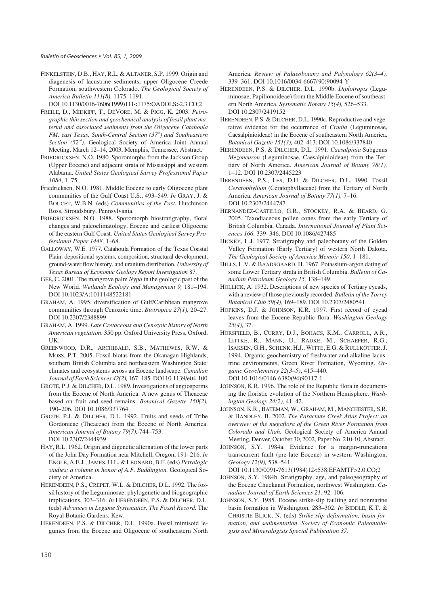FINKELSTEIN, D.B., HAY, R.L. & ALTANER, S.P. 1999. Origin and diagenesis of lacustrine sediments, upper Oligocene Creede Formation, southwestern Colorado. *The Geological Society of America Bulletin 111(8),* 1175–1191.

DOI 10.1130/0016-7606(1999)111<1175:OADOLS>2.3.CO;2

- FREILE, D., MIDKIFF, T., DEVORE, M. & PIGG, K. 2003. *Petrographic thin section and geochemical analysis of fossil plant material and associated sediments from the Oligocene Catahoula FM, east Texas, South-Central Section (37<sup>th</sup>) and Southeastern* Section (52<sup>nd</sup>). Geological Society of America Joint Annual Meeting, March 12–14, 2003, Memphis, Tennessee, Abstract.
- FRIEDRICKSEN, N.O. 1980. Sporomorphs from the Jackson Group (Upper Eocene) and adjacent strata of Mississippi and western Alabama. *United States Geological Survey Professional Paper 1084*, 1–75.
- Friedricksen, N.O. 1981. Middle Eocene to early Oligocene plant communities of the Gulf Coast U.S., 493–549. *In* GRAY, J. & BOUCET, W.B.N. (eds) *Communities of the Past.* Hutchinson Ross, Stroudsbury, Pennsylvania.
- FRIEDRICKSEN, N.O. 1988. Sporomorph biostratigraphy, floral changes and paleoclimatology, Eocene and earliest Oligocene of the eastern Gulf Coast*. United States Geological Survey Professional Paper 1448,* 1–68.
- GALLOWAY, W.E. 1977. Catahoula Formation of the Texas Coastal Plain: depositional systems, composition, structural development, ground-water flow history, and uranium distribution. *University of Texas Bureau of Economic Geology Report Investigation* 87.
- GEE, C. 2001. The mangrove palm *Nypa* in the geologic past of the New World. *Wetlands Ecology and Management 9,* 181–194. DOI 10.1023/A:1011148522181
- GRAHAM, A. 1995. diversification of Gulf/Caribbean mangrove communities through Cenozoic time. *Biotropica 27(1),* 20–27. DOI 10.2307/2388899
- GRAHAM, A. 1999. *Late Cretaceous and Cenozoic history of North American vegetation*. 350 pp. Oxford University Press, Oxford, UK.
- GREENWOOD, D.R., ARCHIBALD, S.B., MATHEWES, R.W. & MOSS, P.T. 2005. Fossil biotas from the Okanagan Highlands, southern British Columbia and northeastern Washington State: climates and ecosystems across an Eocene landscape. *Canadian Journal of Earth Sciences 42(2),* 167–185. DOI 10.1139/e04-100
- GROTE, P.J. & DILCHER, D.L. 1989. Investigations of angiosperms from the Eocene of North America: A new genus of Theaceae based on fruit and seed remains. *Botanical Gazette 150(2),* 190–206. DOI 10.1086/337764
- GROTE, P.J. & DILCHER, D.L. 1992. Fruits and seeds of Tribe Gordonieae (Theaceae) from the Eocene of North America. *American Journal of Botany 79(7),* 744–753. DOI 10.2307/2444939
- HAY, R.L. 1962. Origin and digenetic alternation of the lower parts of the John Day Formation near Mitchell, Oregon, 191–216. *In* ENGLE, A.E.J., JAMES, H.L. & LEONARD, B.F. (eds) *Petrologic studies: a volume in honor of A.F. Buddington.* Geological Society of America.
- HERENDEEN, P.S., CREPET, W.L. & DILCHER, D.L. 1992. The fossil history of the Leguminosae: phylogenetic and biogeographic implications, 303–316. *In* HERENDEEN, P.S. & DILCHER, D.L. (eds) *Advances in Legume Systematics, The Fossil Record.* The Royal Botanic Gardens, Kew.
- HERENDEEN, P.S. & DILCHER, D.L. 1990a. Fossil mimisoid legumes from the Eocene and Oligocene of southeastern North

America. *Review of Palaeobotany and Palynology 62(3–4),* 339–361. DOI 10.1016/0034-6667(90)90094-Y

- HERENDEEN, P.S. & DILCHER, D.L. 1990b. *Diplotropis* (Leguminosae, Papilionoideae) from the Middle Eocene of southeastern North America. *Systematic Botany 15(4),* 526–533. DOI 10.2307/2419152
- HERENDEEN, P.S. & DILCHER, D.L. 1990c. Reproductive and vegetative evidence for the occurrence of *Crudia* (Leguminosae, Caesalpinioideae) in the Eocene of southeastern North America. *Botanical Gazette 151(3),* 402–413. DOI 10.1086/337840
- HERENDEEN, P.S. & DILCHER, D.L. 1991. *Caesalpinia* Subgenus *Mezoneuron* (Leguminosae, Caesalpinioideae) from the Tertiary of North America. *American Journal of Botany 78(1),* 1–12. DOI 10.2307/2445223
- HERENDEEN, P.S., LES, D.H. & DILCHER, D.L. 1990. Fossil *Ceratophyllum* (Ceratophyllaceae) from the Tertiary of North America. *American Journal of Botany 77(1),* 7–16. DOI 10.2307/2444787
- HERNANDEZ-CASTILLO, G.R., STOCKEY, R.A. & BEARD, G. 2005. Taxodiaceous pollen cones from the early Tertiary of British Columbia, Canada. *International Journal of Plant Sciences 166,* 339–346. DOI 10.1086/427485
- HICKEY, L.J. 1977. Stratigraphy and paleobotany of the Golden Valley Formation (Early Tertiary) of western North Dakota. *The Geological Society of America Memoir 150*, 1–181.
- HILLS, L.V. & BAADSGAARD, H. 1967. Potassium-argon dating of some Lower Tertiary strata in British Columbia. *Bulletin of Canadian Petroleum Geology 15,* 138–149.
- HOLLICK, A. 1932. Descriptions of new species of Tertiary cycads, with a review of those previously recorded. *Bulletin of the Torrey Botanical Club 59(4),* 169–189. DOI 10.2307/2480541
- HOPKINS, D.J. & JOHNSON, K.R. 1997. First record of cycad leaves from the Eocene Republic flora. *Washington Geology 25(4),* 37.
- HORSFIELD, B., CURRY, D.J., BOHACS, K.M., CARROLL, A.R., LITTKE, R., MANN, U., RADKE, M., SCHAEFER, R.G., ISAKSEN, G.H., SCHENK, H.J., WITTE, E.G. & RULLKÖTTER, J. 1994. Organic geochemistry of freshwater and alkaline lacustrine environments, Green River Formation, Wyoming. *Organic Geochemistry 22(3–5)*, 415–440. DOI 10.1016/0146-6380(94)90117-1
- JOHNSON, K.R. 1996. The role of the Republic flora in documenting the floristic evolution of the Northern Hemisphere. *Washington Geology 24(2),* 41–42.
- JOHNSON, K.R., BATEMAN, W., GRAHAM, M., MANCHESTER, S.R. & HANDLEY, B. 2002. *The Parachute Creek Atlas Project: an overview of the megaflora of the Green River Formation from Colorado and Utah*. Geological Society of America Annual Meeting, Denver, October 30, 2002, Paper No. 210-10, Abstract.
- JOHNSON, S.Y. 1984a. Evidence for a margin-truncations transcurrent fault (pre-late Eocene) in western Washington. *Geology 12(9),* 538–541.

DOI 10.1130/0091-7613(1984)12<538:EFAMTF>2.0.CO;2

- JOHNSON, S.Y. 1984b. Stratigraphy, age, and paleogeography of the Eocene Chuckanut Formation, northwest Washington. *Canadian Journal of Earth Sciences 21*, 92–106.
- JOHNSON, S.Y. 1985. Eocene strike-slip faulting and nonmarine basin formation in Washington, 283–302. *In* BIDDLE, K.T. & CHRISTIE-BLICK, N. (eds) *Strike-slip deformation, basin formation, and sedimentation*. *Society of Economic Paleontologists and Mineralogists Special Publication 37*.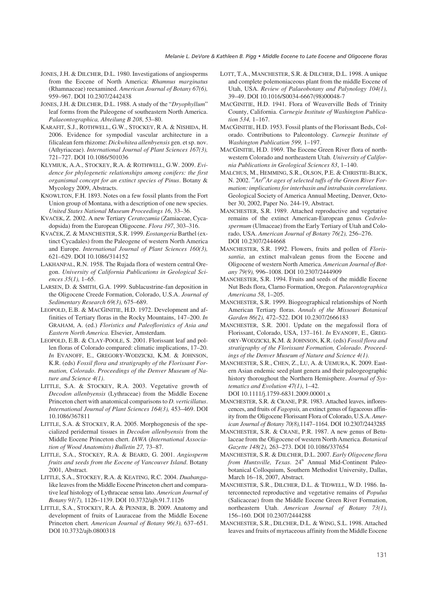- JONES, J.H. & DILCHER, D.L. 1980. Investigations of angiosperms from the Eocene of North America: *Rhamnus marginatus* (Rhamnaceae) reexamined. *American Journal of Botany 67(6),* 959–967. DOI 10.2307/2442438
- JONES, J.H. & DILCHER, D.L. 1988. A study of the "*Dryophyllum*" leaf forms from the Paleogene of southeastern North America. *Palaeontographica, Abteilung B 208*, 53–80.
- KARAFIT, S.J., ROTHWELL, G.W., STOCKEY, R A. & NISHIDA, H. 2006. Evidence for sympodial vascular architecture in a filicalean fern rhizome: *Dickwhitea allenbyensis* gen. et sp. nov. (Athyriaceae). *International Journal of Plant Sciences 167(3),* 721–727. DOI 10.1086/501036
- KLYMIUK, A.A., STOCKEY, R.A. & ROTHWELL, G.W. 2009. *Evidence for phylogenetic relationships among conifers: the first organismal concept for an extinct species of Pinus*. Botany & Mycology 2009, Abstracts.
- KNOWLTON, F.H. 1893. Notes on a few fossil plants from the Fort Union group of Montana, with a description of one new species. *United States National Museum Proceedings 16*, 33–36.
- KVAČEK, Z. 2002. A new Tertiary *Ceratozamia* (Zamiaceae, Cycadopsida) from the European Oligocene. *Flora 197*, 303–316.
- KVAČEK, Z. & MANCHESTER, S.R. 1999. *Eostangeria* Barthel (extinct Cycadales) from the Paleogene of western North America and Europe. *International Journal of Plant Sciences 160(3),* 621–629. DOI 10.1086/314152
- LAKHANPAL, R.N. 1958. The Rujada flora of western central Oregon. *University of California Publications in Geological Sciences 35*(*1),* 1–65.
- LARSEN, D. & SMITH, G.A. 1999. Sublacustrine-fan deposition in the Oligocene Creede Formation, Colorado, U.S.A. *Journal of Sedimentary Research 69(3),* 675–689.
- LEOPOLD, E.B. & MACGINITIE, H.D. 1972. Development and affinities of Tertiary floras in the Rocky Mountains, 147–200. *In* GRAHAM, A. (ed.) *Floristics and Paleofloristics of Asia and Eastern North America.* Elsevier, Amsterdam.
- LEOPOLD, E.B. & CLAY-POOLE, S. 2001. Florissant leaf and pollen floras of Colorado compared: climatic implications, 17–20. *In* EVANOFF, E., GREGORY-WODZICKI, K.M. & JOHNSON, K.R. (eds) *Fossil flora and stratigraphy of the Florissant Formation, Colorado*. *Proceedings of the Denver Museum of Nature and Science 4(1)*.
- LITTLE, S.A. & STOCKEY, R.A. 2003. Vegetative growth of *Decodon allenbyensis* (Lythraceae) from the Middle Eocene Princeton chert with anatomical comparisons to *D. verticillatus*. *International Journal of Plant Sciences 164(3),* 453–469. DOI 10.1086/367811
- LITTLE, S.A. & STOCKEY, R.A. 2005. Morphogenesis of the specialized peridermal tissues in *Decodon allenbyensis* from the Middle Eocene Princeton chert. *IAWA* (*International Association of Wood Anatomists) Bulletin 27,* 73–87.
- LITTLE, S.A., STOCKEY, R.A. & BEARD, G. 2001. *Angiosperm fruits and seeds from the Eocene of Vancouver Island*. Botany 2001, Abstract.
- LITTLE, S.A., STOCKEY, R.A. & KEATING, R.C. 2004. *Duabanga*like leaves from the Middle Eocene Princeton chert and comparative leaf histology of Lythraceae sensu lato. *American Journal of Botany 91(7),* 1126–1139. DOI 10.3732/ajb.91.7.1126
- LITTLE, S.A., STOCKEY, R.A. & PENNER, B. 2009. Anatomy and development of fruits of Lauraceae from the Middle Eocene Princeton chert*. American Journal of Botany 96(3),* 637–651. DOI 10.3732/ajb.0800318
- LOTT, T.A., MANCHESTER, S.R. & DILCHER, D.L. 1998. A unique and complete polemoniaceous plant from the middle Eocene of Utah, USA. *Review of Palaeobotany and Palynology 104(1),* 39–49. DOI 10.1016/S0034-6667(98)00048-7
- MACGINITIE, H.D. 1941. Flora of Weaverville Beds of Trinity County, California. *Carnegie Institute of Washington Publication 534,* 1–167.
- MACGINITIE, H.D. 1953. Fossil plants of the Florissant Beds, Colorado. Contributions to Paleontology. *Carnegie Institute of Washington Publication 599,* 1–197.
- MACGINITIE, H.D. 1969. The Eocene Green River flora of northwestern Colorado and northeastern Utah. *University of California Publications in Geological Sciences 83*, 1–140.
- MALCHUS, M., HEMMING, S.R., OLSON, P.E. & CHRISTIE-BLICK, N. 2002. <sup>40</sup>Ar/<sup>39</sup>Ar ages of selected tuffs of the Green River For*mation: implications for interbasin and intrabasin correlations*. Geological Society of America Annual Meeting, Denver, October 30, 2002, Paper No. 244-19, Abstract.
- MANCHESTER, S.R. 1989. Attached reproductive and vegetative remains of the extinct American-European genus *Cedrelospermum* (Ulmaceae) from the Early Tertiary of Utah and Colorado, USA. *American Journal of Botany 76(2),* 256–276. DOI 10.2307/2444668
- MANCHESTER, S.R. 1992. Flowers, fruits and pollen of *Florissantia*, an extinct malvalean genus from the Eocene and Oligocene of western North America. *American Journal of Botany 79(9),* 996–1008. DOI 10.2307/2444909
- MANCHESTER, S.R. 1994. Fruits and seeds of the middle Eocene Nut Beds flora, Clarno Formation, Oregon. *Palaeontographica Americana 58*, 1–205.
- MANCHESTER, S.R. 1999. Biogeographical relationships of North American Tertiary floras. *Annals of the Missouri Botanical Garden 86(2),* 472–522. DOI 10.2307/2666183
- MANCHESTER, S.R. 2001. Update on the megafossil flora of Florissant, Colorado, USA, 137–161. *In* EVANOFF, E., GREG-ORY-WODZICKI, K.M. & JOHNSON, K.R. (eds) *Fossil flora and stratigraphy of the Florissant Formation, Colorado*. *Proceedings of the Denver Museum of Nature and Science 4(1)*.
- MANCHESTER, S.R., CHEN, Z., LU, A. & UEMURA, K. 2009. Eastern Asian endemic seed plant genera and their paleogeographic history thoroughout the Northern Hemisphere. *Journal of Systematics and Evolution 47(1)*, 1–42. DOI 10.1111/j.1759-6831.2009.00001.x
- MANCHESTER, S.R. & CRANE, P.R. 1983. Attached leaves, inflorescences, and fruits of *Fagopsis,* an extinct genus of fagaceous affinity from the Oligocene Florissant Flora of Colorado, U.S.A. *American Journal of Botany 70(8),*1147–1164. DOI 10.2307/2443285
- MANCHESTER, S.R. & CRANE, P.R. 1987. A new genus of Betulaceae from the Oligocene of western North America. *Botanical Gazette 148(2),* 263–273. DOI 10.1086/337654
- MANCHESTER, S.R. & DILCHER, D.L. 2007. *Early Oligocene flora from Huntsville, Texas.* 24<sup>th</sup> Annual Mid-Continent Paleobotanical Colloquium, Southern Methodist University, Dallas, March 16–18, 2007, Abstract.
- MANCHESTER, S.R., DILCHER, D.L. & TIDWELL, W.D. 1986. Interconnected reproductive and vegetative remains of *Populus* (Salicaceae) from the Middle Eocene Green River Formation, northeastern Utah. *American Journal of Botany 73(1),* 156–160. DOI 10.2307/2444288
- MANCHESTER, S.R., DILCHER, D.L. & WING, S.L. 1998. Attached leaves and fruits of myrtaceous affinity from the Middle Eocene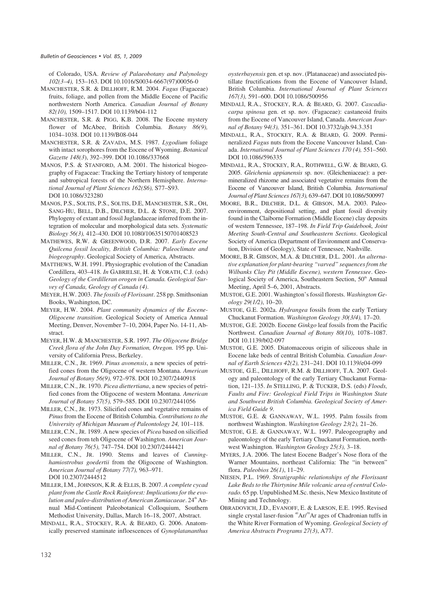of Colorado, USA. *Review of Palaeobotany and Palynology 102(3–4),* 153–163. DOI 10.1016/S0034-6667(97)00056-0

- MANCHESTER, S.R. & DILLHOFF, R.M. 2004. *Fagus* (Fagaceae) fruits, foliage, and pollen from the Middle Eocene of Pacific northwestern North America. *Canadian Journal of Botany 82(10),* 1509–1517. DOI 10.1139/b04-112
- MANCHESTER, S.R. & PIGG, K.B. 2008. The Eocene mystery flower of McAbee, British Columbia. *Botany 86(9),* 1034–1038. DOI 10.1139/B08-044
- MANCHESTER, S.R. & ZAVADA, M.S. 1987. *Lygodium* foliage with intact sorophores from the Eocene of Wyoming. *Botanical Gazette 148(3*), 392–399. DOI 10.1086/337668
- MANOS, P.S. & STANFORD, A.M. 2001. The historical biogeography of Fagaceae: Tracking the Tertiary history of temperate and subtropical forests of the Northern Hemisphere. *International Journal of Plant Sciences 162(S6),* S77–S93. DOI 10.1086/323280
- MANOS, P.S., SOLTIS, P.S., SOLTIS, D.E, MANCHESTER, S.R., OH, SANG-HU, BELL, D.B., DILCHER, D.L. & STONE, D.E. 2007. Phylogeny of extant and fossil Juglandaceae inferred from the integration of molecular and morphological data sets. *Systematic Biology 56(3),* 412–430. DOI 10.1080/10635150701408523
- MATHEWES, R.W. & GREENWOOD, D.R. 2007. *Early Eocene Quilcena fossil locality, British Columbia: Paleoclimate and biogeography*. Geological Society of America, Abstracts.
- MATTHEWS, W.H. 1991. Physiographic evolution of the Canadian Cordillera, 403–418. *In* GABRIELSE, H. & YORATH, C.J. (eds) *Geology of the Cordilleran orogen in Canada. Geological Survey of Canada, Geology of Canada (4)*.
- MEYER, H.W. 2003. *The fossils of Florissant*. 258 pp. Smithsonian Books, Washington, DC.
- MEYER, H.W. 2004. *Plant community dynamics of the Eocene-Oligocene transition*. Geological Society of America Annual Meeting, Denver, November 7–10, 2004, Paper No. 14-11, Abstract.
- MEYER, H.W. & MANCHESTER, S.R. 1997. *The Oligocene Bridge Creek flora of the John Day Formation, Oregon.* 195 pp. University of California Press, Berkeley.
- MILLER, C.N., JR. 1969. *Pinus avonensis*, a new species of petrified cones from the Oligocene of western Montana. *American Journal of Botany 56(9),* 972–978. DOI 10.2307/2440918

MILLER, C.N., JR. 1970. *Picea diettertiana*, a new species of petrified cones from the Oligocene of western Montana. *American Journal of Botany 57(5),* 579–585. DOI 10.2307/2441056

MILLER, C.N., JR. 1973. Silicified cones and vegetative remains of *Pinus* from the Eocene of British Columbia. *Contributions to the University of Michigan Museum of Paleontology 24,* 101–118.

MILLER, C.N., JR. 1989. A new species of *Picea* based on silicified seed cones from teh Oligocene of Washington. *American Journal of Botany 76(5),* 747–754. DOI 10.2307/2444421

MILLER, C.N., JR. 1990. Stems and leaves of *Cunninghamiostrobus goedertii* from the Oligocene of Washington. *American Journal of Botany 77(7),* 963–971. DOI 10.2307/2444512

MILLER, I.M., JOHNSON, K.R. & ELLIS, B. 2007. *A complete cycad plant from the Castle Rock Rainforest: Implications for the evolution and paleo-distribution of American Zamiacaeae.* 24<sup>th</sup> Annual Mid-Continent Paleobotanical Colloquium, Southern Methodist University, Dallas, March 16–18, 2007, Abstract.

MINDALL, R.A., STOCKEY, R.A. & BEARD, G. 2006. Anatomically preserved staminate infloescences of *Gynoplatananthus* *oysterbayensis* gen. et sp. nov. (Platanaceae) and associated pistillate fructifications from the Eocene of Vancouver Island, British Columbia. *International Journal of Plant Sciences 167(3),* 591–600. DOI 10.1086/500956

- MINDALl, R.A., STOCKEY, R.A. & BEARD, G. 2007. *Cascadiacarpa spinosa* gen. et sp. nov. (Fagaceae): castaneoid fruits from the Eocene of Vancouver Island, Canada. *American Journal of Botany 94(3),* 351–361. DOI 10.3732/ajb.94.3.351
- MINDALL, R.A., STOCKEY, R.A. & BEARD, G. 2009. Permineralized *Fagus* nuts from the Eocene Vancouver Island, Canada. *International Journal of Plant Sciences 170 (4),* 551–560. DOI 10.1086/596335
- MINDALL, R.A., STOCKEY, R.A., ROTHWELL, G.W. & BEARD, G. 2005. *Gleichenia appianensis* sp. nov. (Gleicheniaceae): a permineralized rhizome and associated vegetative remains from the Eocene of Vancouver Island, British Columbia. *International Journal of Plant Sciences 167(3),* 639–647. DOI 10.1086/500997
- MOORE, B.R., DILCHER, D.L. & GIBSON, M.A. 2003. Paleoenvironment, depositional setting, and plant fossil diversity found in the Claiborne Formation (Middle Eocene) clay deposits of western Tennessee, 187–198. *In Field Trip Guidebook, Joint Meeting South-Central and Southeastern Sections*. Geological Society of America (Department of Environment and Conservation, Division of Geology), State of Tennessee, Nashville.
- MOORE, B.R. GIBSON, M.A. & DILCHER, D.L. 2001. *An alternative explanation for plant-bearing "varved" sequences from the Wilbanks Clay Pit (Middle Eocene), western Tennessee*. Geological Society of America, Southeastern Section, 50<sup>th</sup> Annual Meeting, April 5–6, 2001, Abstracts.
- MUSTOE, G.E. 2001. Washington's fossil florests. *Washington Geology 29(1/2)*, 10–20.
- MUSTOE, G.E. 2002a. *Hydrangea* fossils from the early Tertiary Chuckanut Formation. *Washington Geology 30(3/4),* 17–20.
- MUSTOE, G.E. 2002b. Eocene *Ginkgo* leaf fossils from the Pacific Northwest. *Canadian Journal of Botany 80(10),* 1078–1087. DOI 10.1139/b02-097
- MUSTOE, G.E. 2005. Diatomaceous origin of siliceous shale in Eocene lake beds of central British Columbia. *Canadian Journal of Earth Sciences 42(2),* 231–241. DOI 10.1139/e04-099
- MUSTOE, G.E., DILLHOFF, R.M. & DILLHOFF, T.A. 2007. Geology and paleontology of the early Tertiary Chuckanut Formation, 121–135. *In* STELLING, P. & TUCKER, D.S. (eds) *Floods, Faults and Fire: Geological Field Trips in Washington State and Southwest British Columbia. Geological Society of America Field Guide 9*.
- MUSTOE, G.E. & GANNAWAY, W.L. 1995. Palm fossils from northwest Washington. *Washington Geology 23(2),* 21–26.

MUSTOE, G.E. & GANNAWAY, W.L. 1997. Paleogeography and paleontology of the early Tertiary Chuckanut Formation, northwest Washington. *Washington Geology 25(3),* 3–18.

- MYERS, J.A. 2006. The latest Eocene Badger's Nose flora of the Warner Mountains, northeast California: The "in between" flora. *Paleobios 26(1)*, 11–29.
- NIESEN, P.L. 1969. *Stratigraphic relationships of the Florissant Lake Beds to the Thirtynine Mile volcanic area of central Colorado.* 65 pp. Unpublished M.Sc. thesis, New Mexico Institute of Mining and Technology.
- OBRADOVICH, J.D., EVANOFF, E. & LARSON, E.E. 1995. Revised single crystal laser-fusion  $^{40}Ar/^{39}Ar$  ages of Chadronian tuffs in the White River Formation of Wyoming. *Geological Society of America Abstracts Programs 27(3)*, A77.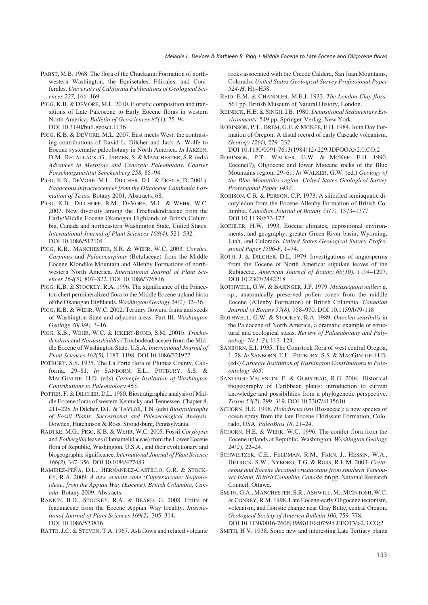- PABST, M.B. 1968. The flora of the Chuckanut Formation of northwestern Washington, the Equisetales, Filicales, and Coniferales. *University of California Publications of Geological Sciences 227,* 166–169.
- PIGG, K.B. & DEVORE, M.L. 2010. Floristic composition and transitions of Late Paleocene to Early Eocene floras in western North America. *Bulletin of Geosciences 85(1),* 75–94. DOI 10.3140/bull.geosci.1136
- PIGG, K.B. & DEVORE, M.L. 2007. East meets West: the contrasting contributions of David L. Dilcher and Jack A. Wolfe to Eocene systematic paleobotany in North America. *In* JARZEN, D.M., RETALLACK, G., JARZEN, S. & MANCHESTER, S.R. (eds) *Advances in Mesozoic and Cenozoic Paleobotany. Courier Forschungsinstitut Senckenberg 258,* 85–94.
- PIGG, K.B., DEVORE, M.L., DILCHER, D.L. & FREILE, D. 2001a. *Fagaceous infructescences from the Oligocene Catahoula Formation of Texas.* Botany 2001, Abstracts, 68.
- PIGG, K.B., DILLHOFF, R.M., DEVORE, M.L. & WEHR, W.C. 2007. New diversity among the Trochodendraceae from the Early/Middle Eocene Okanogan Highlands of British Columbia, Canada and northeastern Washington State, United States. *International Journal of Plant Sciences 168(4),* 521–532. DOI 10.1086/512104
- PIGG, K.B., MANCHESTER, S.R. & WEHR, W.C. 2003. *Corylus*, *Carpinus* and *Palaeocarpinus* (Betulaceae) from the Middle Eocene Klondike Mountain and Allenby Formations of northwestern North America. *International Journal of Plant Sciences 164(5),* 807–822. DOI 10.1086/376816
- PIGG, K.B. & STOCKEY, R.A. 1996. The significance of the Princeton chert permineralized flora to the Middle Eocene upland biota of the Okanogan Highlands. *Washington Geology 24(2),* 32–36.
- PIGG, K.B. & WEHR, W.C. 2002. Tertiary flowers, fruits and seeds of Washington State and adjacent areas. Part III. *Washington Geology 30(3/4),* 3–16.
- PIGG, K.B., WEHR, W.C. & ICKERT-BOND, S.M. 2001b. *Trochodendron* and *Nordenskioldia* (Trochodendraceae) from the Middle Eocene of Washington State, U.S.A. *International Journal of Plant Sciences 162(5),* 1187–1198. DOI 10.1086/321927
- POTBURY, S.S. 1935. The La Porte flora of Plumas County, California, 29–81. *In* SANBORN, E.L., POTBURY, S.S. & MACGINITIE, H.D. (eds) *Carnegie Institution of Washington Contributions to Paleontology 465*.
- POTTER, F. & DILCHER, D.L. 1980. Biostratigraphic analysis of Middle Eocene floras of western Kentucky and Tennessee. Chapter 8, 211–225. *In* Dilcher, D.L. & TAYLOR, T.N. (eds) *Biostratigraphy of Fossil Plants: Successional and Paleoecological Analysis*. Dowden, Hutchinson & Ross, Stroudsburg, Pennsylvania.
- RADTKE, M.G., PIGG, K.B. & WEHR, W.C. 2005. Fossil *Corylopsis* and *Fothergilla* leaves (Hamamelidaceae) from the Lower Eocene flora of Republic, Washington, U.S.A., and their evolutionary and biogeographic significance. *International Journal of Plant Science 166(2),* 347–356. DOI 10.1086/427483
- RAMÍREZ-PEÑA, D.L., HERNANDEZ-CASTILLO, G.R. & STOCK-EY, R.A. 2009. *A new ovulate cone (Cupressaceae: Sequoioideae) from the Appian Way (Eocene), British Columbia*, *Canada*. Botany 2009, Abstracts.
- RANKIN, B.D., STOCKEY, R.A. & BEARD, G. 2008. Fruits of Icacinaceae from the Eocene Appian Way locality. *International Journal of Plant Sciences 169(2),* 305–314. DOI 10.1086/523876
- RATTE, J.C. & STEVEN, T.A. 1967. Ash flows and related volcanic

rocks associated with the Creede Caldera, San Juan Mountains, Colorado. *United States Geological Survey Professional Paper 524-H*, H1–H58.

- REID, E.M. & CHANDLER, M.E.J. 1933. *The London Clay flora.* 561 pp. British Museum of Natural History, London.
- REINECK, H.E. & SINGH, I.B. 1980. *Depositional Sedimentary Environments*. 549 pp. Springer-Verlag, New York.
- ROBINSON, P.T., BREM, G.F. & MCKEE, E.H. 1984. John Day Formation of Oregon: A distal record of early Cascade volcanism. *Geology 12(4),* 229–232.

DOI 10.1130/0091-7613(1984)12<229:JDFOOA>2.0.CO;2

- ROBINSON, P.T., WALKER, G.W. & MCKEE, E.H. 1990. Eocene(?), Oligocene and lower Miocene rocks of the Blue Mountains region, 29–61. *In* WALKER, G.W. (ed.) *Geology of the Blue Mountains region*. *United States Geological Survey Professional Paper 1437*.
- ROBISON, C.R. & PERSON, C.P. 1973. A silicified semiaquatic dicotyledon from the Eocene Allenby Formation of British Columbia*. Canadian Journal of Botany 51(7),* 1373–1377. DOI 10.1139/b73-172
- ROEHLER, H.W. 1993. Eocene climates, depositional environments, and geography, greater Green River basin, Wyoming, Utah, and Colorado*. United States Geological Survey Professional Paper 1506-F*, 1–74.
- ROTH, J. & DILCHER, D.L. 1979. Investigations of angiosperms from the Eocene of North America: stipulate leaves of the Rubiaceae. *American Journal of Botany 66(10),* 1194–1207. DOI 10.2307/2442218
- ROTHWELL, G.W. & BASINGER, J.F. 1979. *Metasequoia milleri* n. sp., anatomically preserved pollen cones from the middle Eocene (Allenby Formation) of British Columbia. *Canadian Journal of Botany 57(8),* 958–970. DOI 10.1139/b79-118
- ROTHWELL, G.W. & STOCKEY, R.A. 1989. *Onoclea sensibilis* in the Paleocene of North America, a dramatic example of structural and ecological stasis. *Review of Palaeobotany and Palynology 70(1–2),* 113–124.
- SANBORN, E.I. 1935. The Comstock flora of west central Oregon, 1–28. *In* SANBORN, E.L., POTBURY, S.S. & MACGINITIE, H.D. (eds) *Carnegie Institution of Washington Contributions to Paleontology 465*.
- SANTIAGO-VALENTIN, E. & OLMSTEAD, R.G. 2004. Historical biogeography of Caribbean plants: introduction to current knowledge and possibilities from a phylogenetic perspective. *Taxon 53(2)*, 299–319. DOI 10.2307/4135610
- SCHORN, H.E. 1998. *Holodiscus lisii* (Rosaceae): a new species of ocean spray from the late Eocene Florissant Formation, Colorado, USA. *PaleoBios 18*, 21–24.

SCHORN, H.E. & WEHR, W.C. 1996. The conifer flora from the Eocene uplands at Republic, Washington. *Washington Geology 24(2),* 22–24.

- SCHWEITZER, C.E., FELDMAN, R.M., FARN, J., HESSIN, W.A., HETRICK, S.W., NYBORG, T.G. & ROSS, R.L.M. 2003. *Cretaceous and Eocene decapod crustaceans from southern Vancouver Island, British Columbia, Canada.* 66 pp. National Research Council, Ottawa.
- SMITH, G.A., MANCHESTER, S.R., ASHWILL, M., MCINTOSH, W.C. & CONREY, R.M. 1998. Late Eocene-early Oligocene tectonism, volcanism, and floristic change near Gray Butte, central Oregon. *Geological Society of America Bulletin 100,* 759–778. DOI 10.1130/0016-7606(1998)110<0759:LEEOTV>2.3.CO;2

SMITH, H V. 1938. Some new and interesting Late Tertiary plants